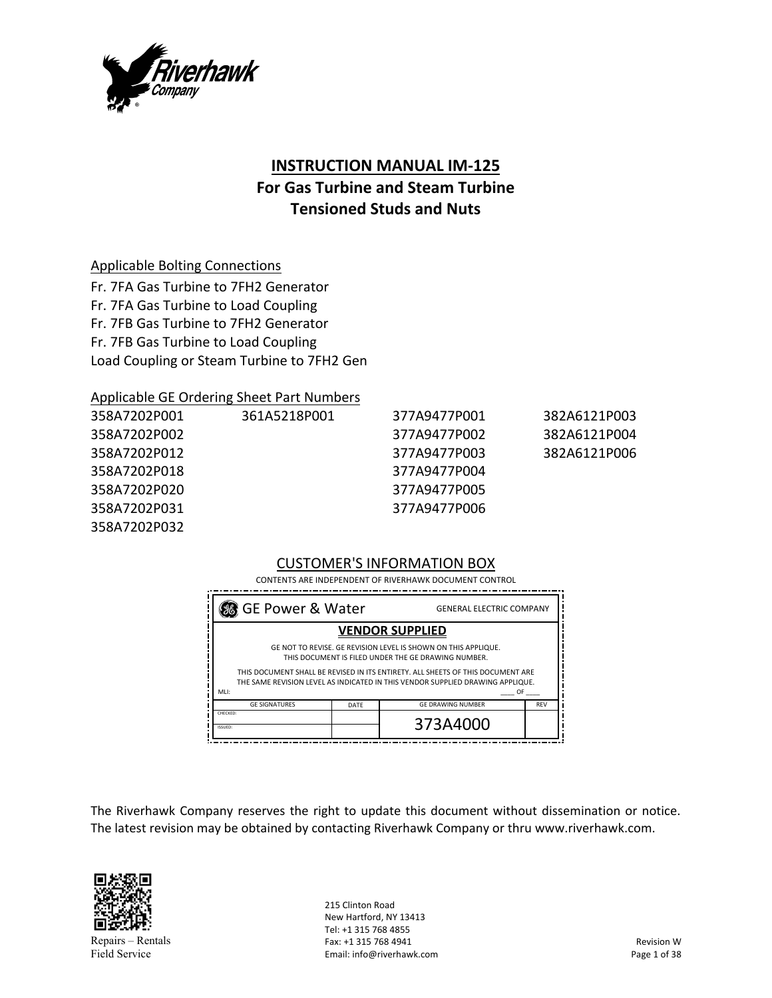

# **INSTRUCTION MANUAL IM‐125**

## **For Gas Turbine and Steam Turbine Tensioned Studs and Nuts**

## Applicable Bolting Connections

Fr. 7FA Gas Turbine to 7FH2 Generator Fr. 7FA Gas Turbine to Load Coupling Fr. 7FB Gas Turbine to 7FH2 Generator Fr. 7FB Gas Turbine to Load Coupling Load Coupling or Steam Turbine to 7FH2 Gen

## Applicable GE Ordering Sheet Part Numbers

| 358A7202P001 | 361A5218P001 | 377A9477P001 | 382A6121P003 |
|--------------|--------------|--------------|--------------|
| 358A7202P002 |              | 377A9477P002 | 382A6121P004 |
| 358A7202P012 |              | 377A9477P003 | 382A6121P006 |
| 358A7202P018 |              | 377A9477P004 |              |
| 358A7202P020 |              | 377A9477P005 |              |
| 358A7202P031 |              | 377A9477P006 |              |
| 358A7202P032 |              |              |              |

## CUSTOMER'S INFORMATION BOX

 CONTENTS ARE INDEPENDENT OF RIVERHAWK DOCUMENT CONTROL

| <b>GENERAL ELECTRIC COMPANY</b>                                                                                                                                   |            |  |  |
|-------------------------------------------------------------------------------------------------------------------------------------------------------------------|------------|--|--|
| <b>VENDOR SUPPLIED</b>                                                                                                                                            |            |  |  |
| GE NOT TO REVISE. GE REVISION LEVEL IS SHOWN ON THIS APPLIQUE.<br>THIS DOCUMENT IS FILED UNDER THE GE DRAWING NUMBER.                                             |            |  |  |
| THIS DOCUMENT SHALL BE REVISED IN ITS ENTIRETY. ALL SHEETS OF THIS DOCUMENT ARE<br>THE SAME REVISION LEVEL AS INDICATED IN THIS VENDOR SUPPLIED DRAWING APPLIQUE. |            |  |  |
| MLI:<br><b>OF</b>                                                                                                                                                 |            |  |  |
| <b>GE DRAWING NUMBER</b>                                                                                                                                          | <b>REV</b> |  |  |
| 373A4000                                                                                                                                                          |            |  |  |
| SG GE Power & Water                                                                                                                                               |            |  |  |

The Riverhawk Company reserves the right to update this document without dissemination or notice. The latest revision may be obtained by contacting Riverhawk Company or thru www.riverhawk.com.



215 Clinton Road New Hartford, NY 13413 Tel: +1 315 768 4855 Fax: +1 315 768 4941 Email: info@riverhawk.com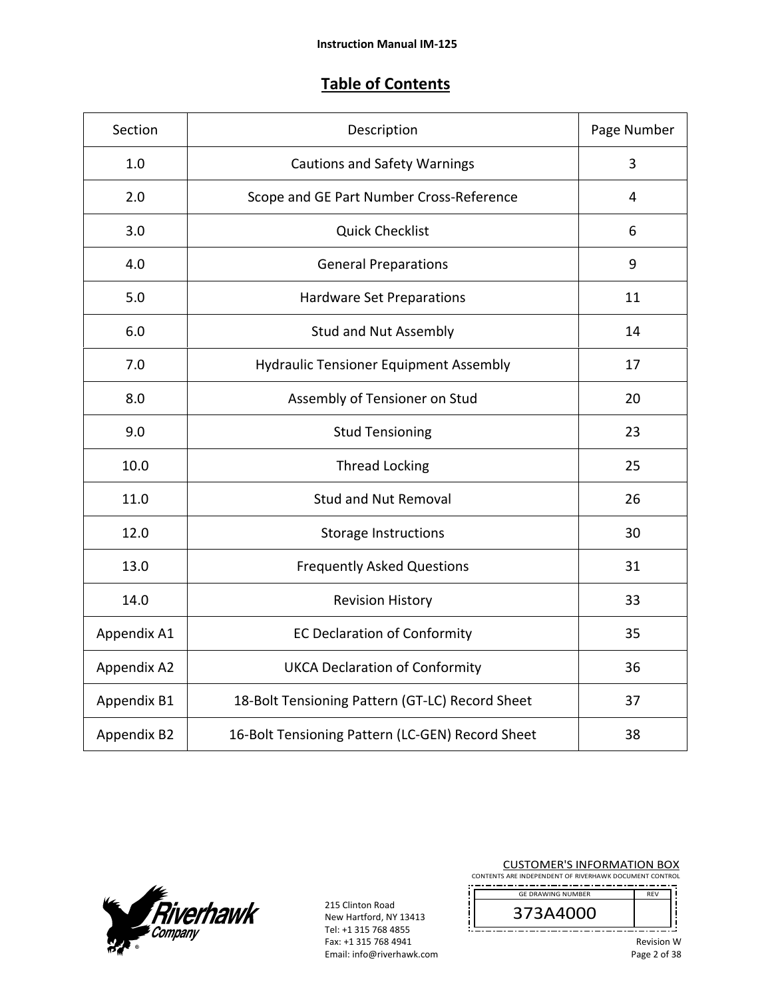## **Table of Contents**

| Section     | Description                                      | Page Number |
|-------------|--------------------------------------------------|-------------|
| 1.0         | <b>Cautions and Safety Warnings</b>              | 3           |
| 2.0         | Scope and GE Part Number Cross-Reference         | 4           |
| 3.0         | <b>Quick Checklist</b>                           | 6           |
| 4.0         | <b>General Preparations</b>                      | 9           |
| 5.0         | Hardware Set Preparations                        | 11          |
| 6.0         | <b>Stud and Nut Assembly</b>                     | 14          |
| 7.0         | <b>Hydraulic Tensioner Equipment Assembly</b>    | 17          |
| 8.0         | Assembly of Tensioner on Stud                    | 20          |
| 9.0         | <b>Stud Tensioning</b>                           | 23          |
| 10.0        | <b>Thread Locking</b>                            | 25          |
| 11.0        | <b>Stud and Nut Removal</b>                      | 26          |
| 12.0        | Storage Instructions                             | 30          |
| 13.0        | <b>Frequently Asked Questions</b>                | 31          |
| 14.0        | <b>Revision History</b>                          | 33          |
| Appendix A1 | <b>EC Declaration of Conformity</b>              | 35          |
| Appendix A2 | <b>UKCA Declaration of Conformity</b>            | 36          |
| Appendix B1 | 18-Bolt Tensioning Pattern (GT-LC) Record Sheet  | 37          |
| Appendix B2 | 16-Bolt Tensioning Pattern (LC-GEN) Record Sheet | 38          |



215 Clinton Road New Hartford, NY 13413 Tel: +1 315 768 4855 Fax: +1 315 768 4941 Email: info@riverhawk.com j

 ${\bf \ddot{j}}$ 

CUSTOMER'S INFORMATION BOX CONTENTS ARE INDEPENDENT OF RIVERHAWK DOCUMENT CONTROL ---------------------------<br>DRAWING NUMBER REV

| <b>GE DRAWING NUMBER</b> | <b>REV</b> |  |
|--------------------------|------------|--|
|                          |            |  |
|                          |            |  |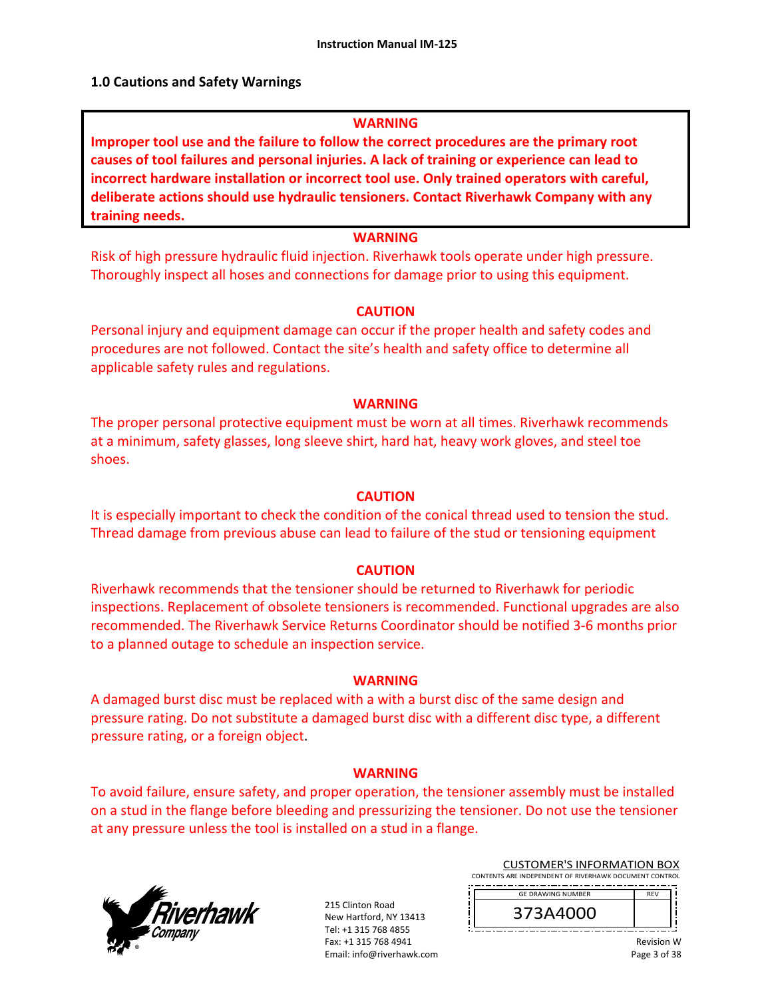#### **1.0 Cautions and Safety Warnings**

#### **WARNING**

**Improper tool use and the failure to follow the correct procedures are the primary root causes of tool failures and personal injuries. A lack of training or experience can lead to incorrect hardware installation or incorrect tool use. Only trained operators with careful, deliberate actions should use hydraulic tensioners. Contact Riverhawk Company with any training needs.** 

## **WARNING**

Risk of high pressure hydraulic fluid injection. Riverhawk tools operate under high pressure. Thoroughly inspect all hoses and connections for damage prior to using this equipment.

#### **CAUTION**

Personal injury and equipment damage can occur if the proper health and safety codes and procedures are not followed. Contact the site's health and safety office to determine all applicable safety rules and regulations.

#### **WARNING**

The proper personal protective equipment must be worn at all times. Riverhawk recommends at a minimum, safety glasses, long sleeve shirt, hard hat, heavy work gloves, and steel toe shoes.

#### **CAUTION**

It is especially important to check the condition of the conical thread used to tension the stud. Thread damage from previous abuse can lead to failure of the stud or tensioning equipment

#### **CAUTION**

Riverhawk recommends that the tensioner should be returned to Riverhawk for periodic inspections. Replacement of obsolete tensioners is recommended. Functional upgrades are also recommended. The Riverhawk Service Returns Coordinator should be notified 3‐6 months prior to a planned outage to schedule an inspection service.

#### **WARNING**

A damaged burst disc must be replaced with a with a burst disc of the same design and pressure rating. Do not substitute a damaged burst disc with a different disc type, a different pressure rating, or a foreign object.

#### **WARNING**

To avoid failure, ensure safety, and proper operation, the tensioner assembly must be installed on a stud in the flange before bleeding and pressurizing the tensioner. Do not use the tensioner at any pressure unless the tool is installed on a stud in a flange.



215 Clinton Road New Hartford, NY 13413 Tel: +1 315 768 4855 Fax: +1 315 768 4941 Email: info@riverhawk.com

| <b>GE DRAWING NUMBER</b> | <b>RFV</b> |
|--------------------------|------------|
| 373A4000                 |            |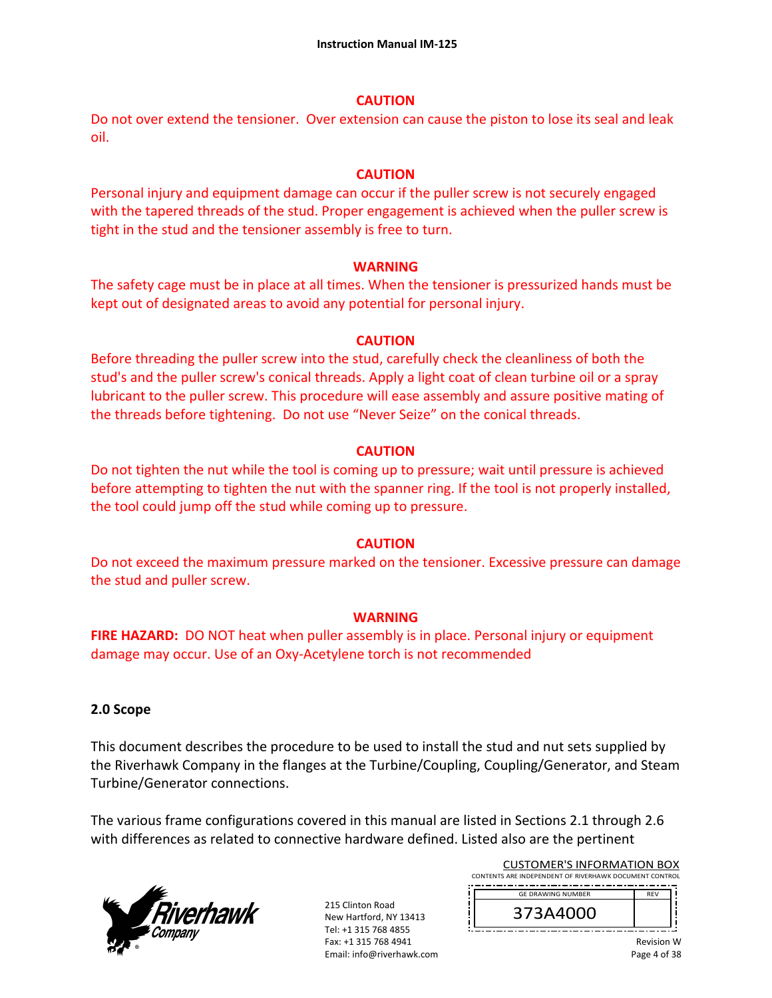#### **CAUTION**

Do not over extend the tensioner. Over extension can cause the piston to lose its seal and leak oil.

### **CAUTION**

Personal injury and equipment damage can occur if the puller screw is not securely engaged with the tapered threads of the stud. Proper engagement is achieved when the puller screw is tight in the stud and the tensioner assembly is free to turn.

#### **WARNING**

The safety cage must be in place at all times. When the tensioner is pressurized hands must be kept out of designated areas to avoid any potential for personal injury.

#### **CAUTION**

Before threading the puller screw into the stud, carefully check the cleanliness of both the stud's and the puller screw's conical threads. Apply a light coat of clean turbine oil or a spray lubricant to the puller screw. This procedure will ease assembly and assure positive mating of the threads before tightening. Do not use "Never Seize" on the conical threads.

#### **CAUTION**

Do not tighten the nut while the tool is coming up to pressure; wait until pressure is achieved before attempting to tighten the nut with the spanner ring. If the tool is not properly installed, the tool could jump off the stud while coming up to pressure.

## **CAUTION**

Do not exceed the maximum pressure marked on the tensioner. Excessive pressure can damage the stud and puller screw.

## **WARNING**

**FIRE HAZARD:** DO NOT heat when puller assembly is in place. Personal injury or equipment damage may occur. Use of an Oxy‐Acetylene torch is not recommended

## **2.0 Scope**

This document describes the procedure to be used to install the stud and nut sets supplied by the Riverhawk Company in the flanges at the Turbine/Coupling, Coupling/Generator, and Steam Turbine/Generator connections.

The various frame configurations covered in this manual are listed in Sections 2.1 through 2.6 with differences as related to connective hardware defined. Listed also are the pertinent



215 Clinton Road New Hartford, NY 13413 Tel: +1 315 768 4855 Fax: +1 315 768 4941 Email: info@riverhawk.com

| <b>CUSTOMER'S INFORMATION BOX</b>                      |
|--------------------------------------------------------|
| CONTENTS ARE INDEPENDENT OF RIVERHAWK DOCUMENT CONTROL |
| ------                                                 |

| <b>GE DRAWING NUMBER</b> |  |
|--------------------------|--|
| 373A4000                 |  |
|                          |  |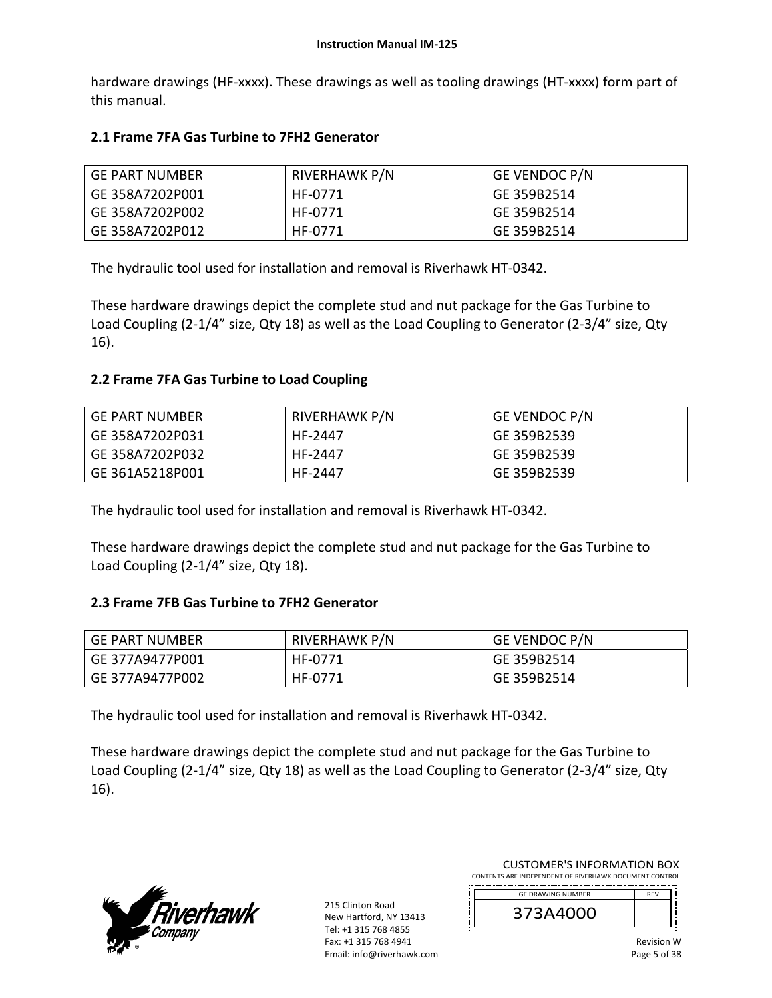hardware drawings (HF-xxxx). These drawings as well as tooling drawings (HT-xxxx) form part of this manual.

## **2.1 Frame 7FA Gas Turbine to 7FH2 Generator**

| GE PART NUMBER  | <b>RIVERHAWK P/N</b> | <b>GE VENDOC P/N</b> |
|-----------------|----------------------|----------------------|
| GE 358A7202P001 | HF-0771              | GE 359B2514          |
| GE 358A7202P002 | HF-0771              | GE 359B2514          |
| GE 358A7202P012 | HF-0771              | GE 359B2514          |

The hydraulic tool used for installation and removal is Riverhawk HT‐0342.

These hardware drawings depict the complete stud and nut package for the Gas Turbine to Load Coupling (2‐1/4" size, Qty 18) as well as the Load Coupling to Generator (2‐3/4" size, Qty 16).

## **2.2 Frame 7FA Gas Turbine to Load Coupling**

| GE PART NUMBER  | RIVERHAWK P/N | GE VENDOC P/N |
|-----------------|---------------|---------------|
| GE 358A7202P031 | HF-2447       | l GE 359B2539 |
| GE 358A7202P032 | HF-2447       | l GE 359B2539 |
| GE 361A5218P001 | HF-2447       | GE 359B2539   |

The hydraulic tool used for installation and removal is Riverhawk HT‐0342.

These hardware drawings depict the complete stud and nut package for the Gas Turbine to Load Coupling (2-1/4" size, Qty 18).

## **2.3 Frame 7FB Gas Turbine to 7FH2 Generator**

| ' GE PART NUMBER | RIVERHAWK P/N | <b>GE VENDOC P/N</b> |
|------------------|---------------|----------------------|
| GE 377A9477P001  | HF-0771       | GE 359B2514          |
| GE 377A9477P002  | HF-0771       | GE 359B2514          |

The hydraulic tool used for installation and removal is Riverhawk HT‐0342.

These hardware drawings depict the complete stud and nut package for the Gas Turbine to Load Coupling (2‐1/4" size, Qty 18) as well as the Load Coupling to Generator (2‐3/4" size, Qty 16).



215 Clinton Road New Hartford, NY 13413 Tel: +1 315 768 4855 Fax: +1 315 768 4941 Email: info@riverhawk.com

| <b>CUSTOMER'S INFORMATION BOX</b>                      |
|--------------------------------------------------------|
| CONTENTS ARE INDEPENDENT OF RIVERHAWK DOCUMENT CONTROL |
|                                                        |

| <b>GE DRAWING NUMBER</b> | <b>RFV</b> |
|--------------------------|------------|
| 173A4000                 |            |
|                          |            |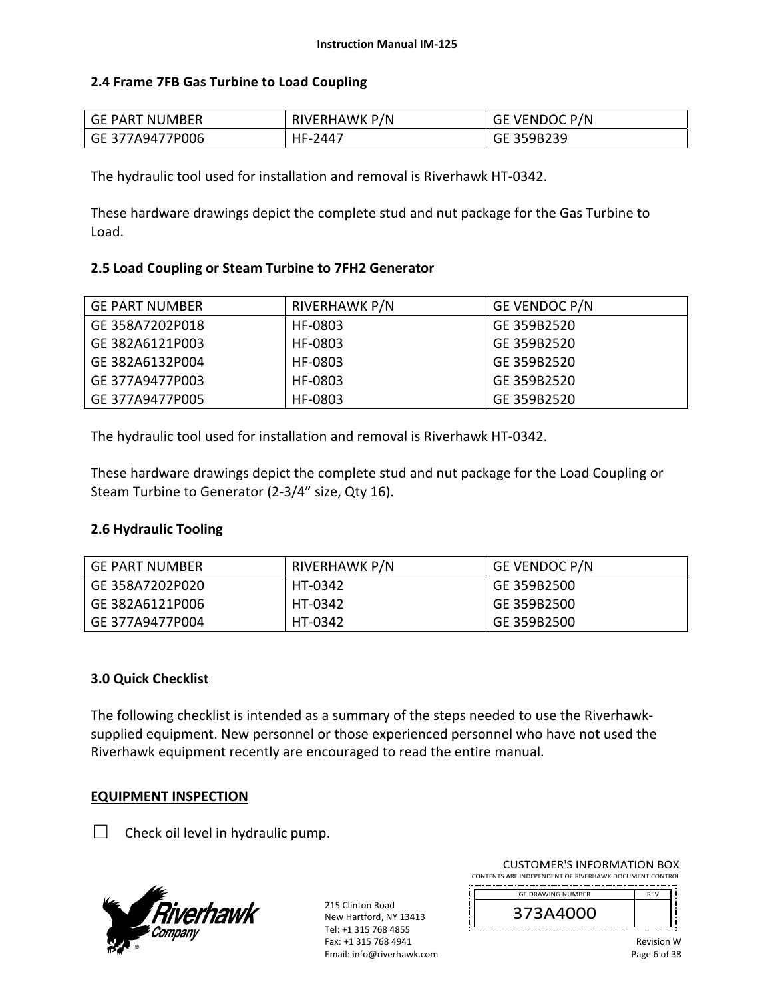## **2.4 Frame 7FB Gas Turbine to Load Coupling**

| GE PART NUMBER  | <b>RIVERHAWK P/N</b> | : VENDOC P/N<br>GE ' |
|-----------------|----------------------|----------------------|
| GE 377A9477P006 | HF-.<br>2447         | GE 359B239           |

The hydraulic tool used for installation and removal is Riverhawk HT‐0342.

These hardware drawings depict the complete stud and nut package for the Gas Turbine to Load.

## **2.5 Load Coupling or Steam Turbine to 7FH2 Generator**

| <b>GE PART NUMBER</b> | <b>RIVERHAWK P/N</b> | GE VENDOC P/N |
|-----------------------|----------------------|---------------|
| GE 358A7202P018       | HF-0803              | GE 359B2520   |
| GE 382A6121P003       | HF-0803              | GE 359B2520   |
| GE 382A6132P004       | HF-0803              | GE 359B2520   |
| GE 377A9477P003       | HF-0803              | GE 359B2520   |
| GE 377A9477P005       | HF-0803              | GE 359B2520   |

The hydraulic tool used for installation and removal is Riverhawk HT‐0342.

These hardware drawings depict the complete stud and nut package for the Load Coupling or Steam Turbine to Generator (2‐3/4" size, Qty 16).

## **2.6 Hydraulic Tooling**

| GE PART NUMBER  | RIVERHAWK P/N | GE VENDOC P/N |
|-----------------|---------------|---------------|
| GE 358A7202P020 | HT-0342       | GE 359B2500   |
| GE 382A6121P006 | HT-0342       | GE 359B2500   |
| GE 377A9477P004 | HT-0342       | GE 359B2500   |

## **3.0 Quick Checklist**

The following checklist is intended as a summary of the steps needed to use the Riverhawk‐ supplied equipment. New personnel or those experienced personnel who have not used the Riverhawk equipment recently are encouraged to read the entire manual.

## **EQUIPMENT INSPECTION**

 $\Box$  Check oil level in hydraulic pump.



215 Clinton Road New Hartford, NY 13413 Tel: +1 315 768 4855 Fax: +1 315 768 4941 Email: info@riverhawk.com

| <b>GF DRAWING NUMBER</b> | <b>RFV</b> |
|--------------------------|------------|
| 373A4000                 |            |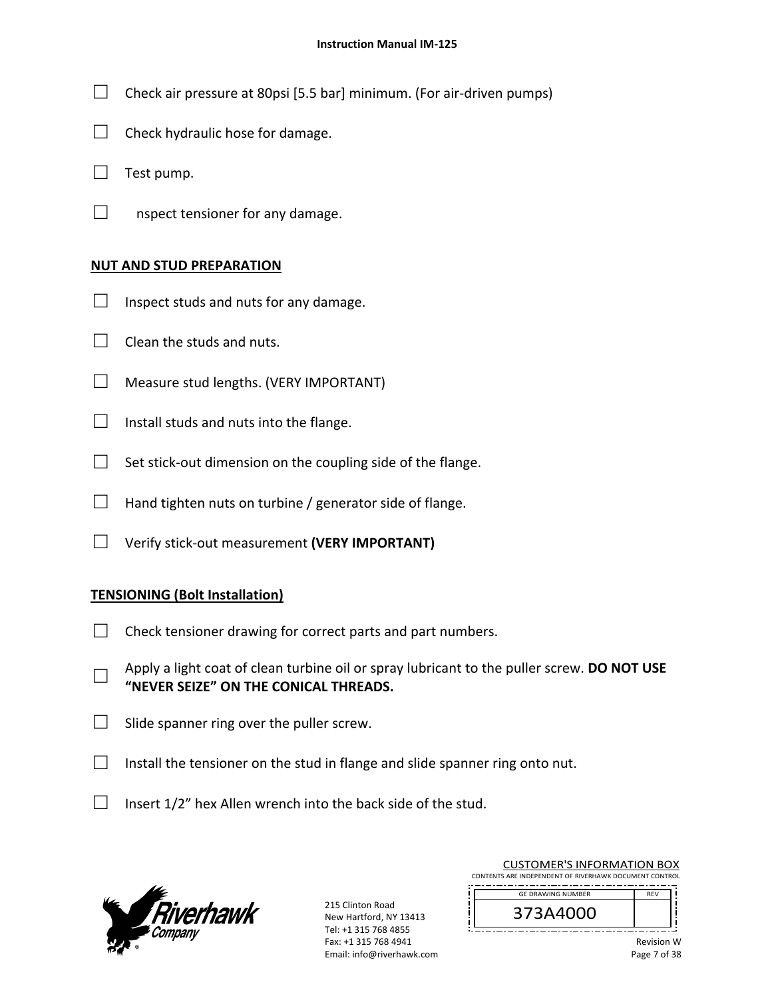- $\Box$  Check air pressure at 80psi [5.5 bar] minimum. (For air-driven pumps)
- $\Box$  Check hydraulic hose for damage.
- $\Box$  Test pump.
- $\Box$  nspect tensioner for any damage.

#### **NUT AND STUD PREPARATION**

- $\Box$  Inspect studs and nuts for any damage.
- $\Box$  Clean the studs and nuts.
- $\Box$  Measure stud lengths. (VERY IMPORTANT)
- $\Box$  Install studs and nuts into the flange.
- $\Box$  Set stick-out dimension on the coupling side of the flange.
- $\Box$  Hand tighten nuts on turbine / generator side of flange.
- □ Verify stick‐out measurement **(VERY IMPORTANT)**

## **TENSIONING (Bolt Installation)**

- $\Box$  Check tensioner drawing for correct parts and part numbers.
- □ Apply a light coat of clean turbine oil or spray lubricant to the puller screw. **DO NOT USE "NEVER SEIZE" ON THE CONICAL THREADS.**
- $\Box$  Slide spanner ring over the puller screw.
- $\Box$  Install the tensioner on the stud in flange and slide spanner ring onto nut.
- $\Box$  Insert 1/2" hex Allen wrench into the back side of the stud.



215 Clinton Road New Hartford, NY 13413 Tel: +1 315 768 4855 Fax: +1 315 768 4941 Email: info@riverhawk.com

| <b>GE DRAWING NUMBER</b> | <b>REV</b> |
|--------------------------|------------|
| 373A4000                 |            |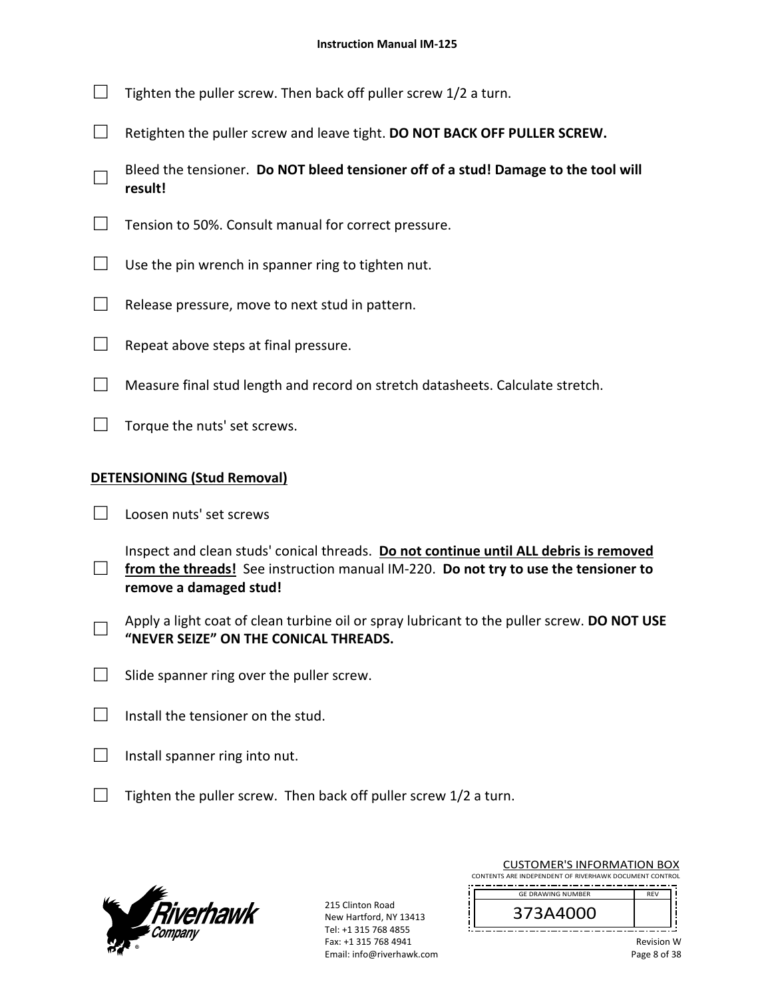- $\Box$  Tighten the puller screw. Then back off puller screw 1/2 a turn.
- □ Retighten the puller screw and leave tight. **DO NOT BACK OFF PULLER SCREW.**
- □ Bleed the tensioner. **Do NOT bleed tensioner off of a stud! Damage to the tool will result!**
- $\Box$  Tension to 50%. Consult manual for correct pressure.
- $\Box$  Use the pin wrench in spanner ring to tighten nut.
- $\Box$  Release pressure, move to next stud in pattern.
- $\Box$  Repeat above steps at final pressure.
- $\Box$  Measure final stud length and record on stretch datasheets. Calculate stretch.
- $\Box$  Torque the nuts' set screws.

## **DETENSIONING (Stud Removal)**

- □ Loosen nuts' set screws
- □ from the threads! See instruction manual IM-220. **Do not try to use the tensioner to** Inspect and clean studs' conical threads. **Do not continue until ALL debris is removed remove a damaged stud!**
- □ Apply a light coat of clean turbine oil or spray lubricant to the puller screw. **DO NOT USE "NEVER SEIZE" ON THE CONICAL THREADS.**
- $\Box$  Slide spanner ring over the puller screw.
- $\Box$  Install the tensioner on the stud.
- $\Box$  Install spanner ring into nut.
- $\Box$  Tighten the puller screw. Then back off puller screw 1/2 a turn.



215 Clinton Road New Hartford, NY 13413 Tel: +1 315 768 4855 Fax: +1 315 768 4941 Email: info@riverhawk.com CUSTOMER'S INFORMATION BOX

| <b>GF DRAWING NUMBER</b> | <b>RFV</b> |
|--------------------------|------------|
| 373A4000                 |            |
|                          |            |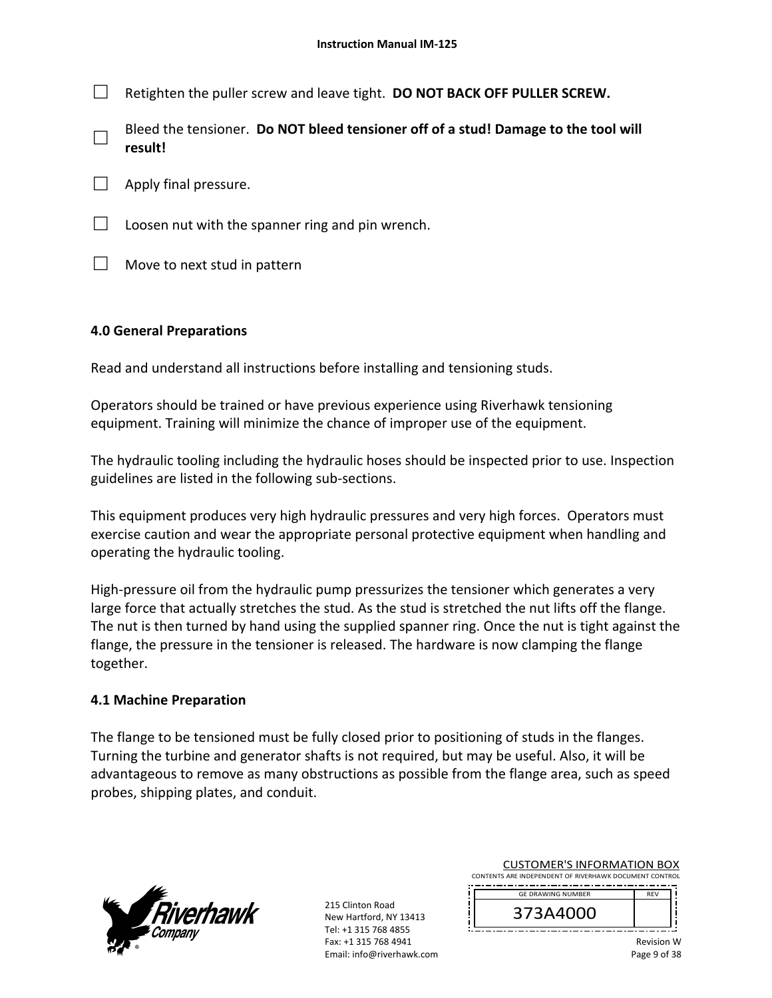□ Retighten the puller screw and leave tight. **DO NOT BACK OFF PULLER SCREW.**

- □ Bleed the tensioner. **Do NOT bleed tensioner off of a stud! Damage to the tool will result!**
- Apply final pressure.
- $\Box$  Loosen nut with the spanner ring and pin wrench.
- $\Box$  Move to next stud in pattern

## **4.0 General Preparations**

Read and understand all instructions before installing and tensioning studs.

Operators should be trained or have previous experience using Riverhawk tensioning equipment. Training will minimize the chance of improper use of the equipment.

The hydraulic tooling including the hydraulic hoses should be inspected prior to use. Inspection guidelines are listed in the following sub‐sections.

This equipment produces very high hydraulic pressures and very high forces. Operators must exercise caution and wear the appropriate personal protective equipment when handling and operating the hydraulic tooling.

High-pressure oil from the hydraulic pump pressurizes the tensioner which generates a very large force that actually stretches the stud. As the stud is stretched the nut lifts off the flange. The nut is then turned by hand using the supplied spanner ring. Once the nut is tight against the flange, the pressure in the tensioner is released. The hardware is now clamping the flange together.

## **4.1 Machine Preparation**

The flange to be tensioned must be fully closed prior to positioning of studs in the flanges. Turning the turbine and generator shafts is not required, but may be useful. Also, it will be advantageous to remove as many obstructions as possible from the flange area, such as speed probes, shipping plates, and conduit.



215 Clinton Road New Hartford, NY 13413 Tel: +1 315 768 4855 Fax: +1 315 768 4941 Email: info@riverhawk.com

| <b>GF DRAWING NUMBER</b> | <b>RFV</b> |
|--------------------------|------------|
| 373A4000                 |            |
|                          |            |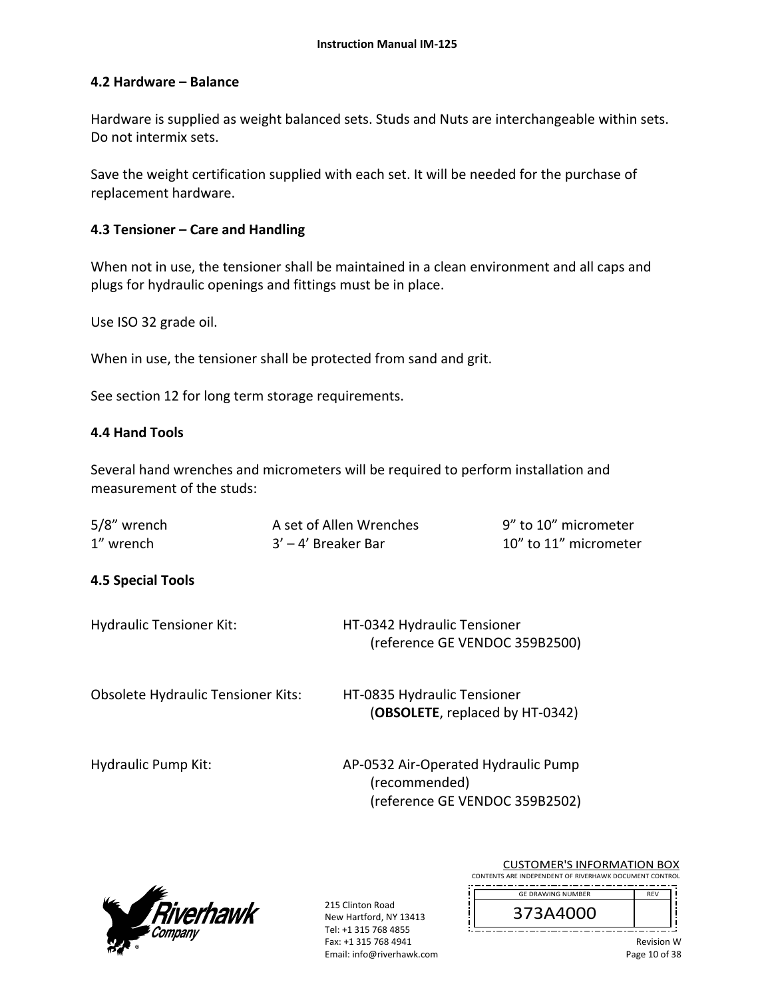## **4.2 Hardware – Balance**

Hardware is supplied as weight balanced sets. Studs and Nuts are interchangeable within sets. Do not intermix sets.

Save the weight certification supplied with each set. It will be needed for the purchase of replacement hardware.

### **4.3 Tensioner – Care and Handling**

When not in use, the tensioner shall be maintained in a clean environment and all caps and plugs for hydraulic openings and fittings must be in place.

Use ISO 32 grade oil.

When in use, the tensioner shall be protected from sand and grit.

See section 12 for long term storage requirements.

#### **4.4 Hand Tools**

Several hand wrenches and micrometers will be required to perform installation and measurement of the studs:

| 5/8" wrench | A set of Allen Wrenches | 9" to 10" micrometer  |
|-------------|-------------------------|-----------------------|
| 1" wrench   | 3' – 4' Breaker Bar     | 10" to 11" micrometer |

## **4.5 Special Tools**

Hydraulic Tensioner Kit: HT‐0342 Hydraulic Tensioner (reference GE VENDOC 359B2500)

Obsolete Hydraulic Tensioner Kits: HT‐0835 Hydraulic Tensioner

(**OBSOLETE**, replaced by HT‐0342)

Hydraulic Pump Kit: 
and the M-0532 Air-Operated Hydraulic Pump (recommended) (reference GE VENDOC 359B2502)



215 Clinton Road New Hartford, NY 13413 Tel: +1 315 768 4855 Fax: +1 315 768 4941 Email: info@riverhawk.com

| <b>GF DRAWING NUMBER</b> | <b>RFV</b> |
|--------------------------|------------|
| 373A4000                 |            |
|                          |            |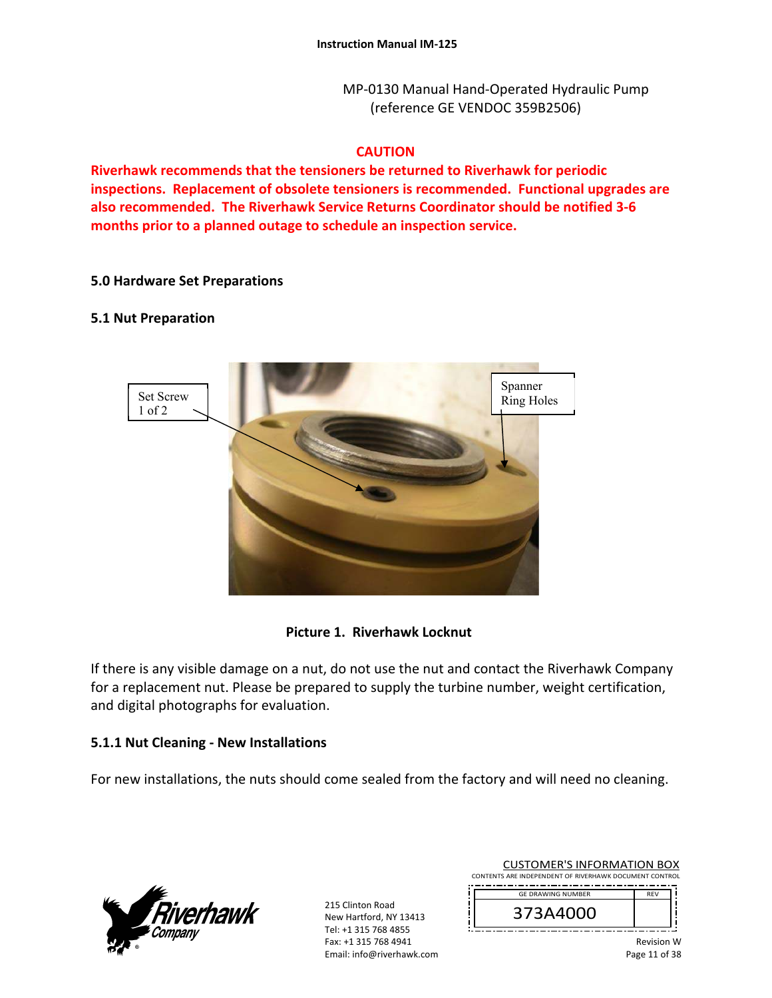MP‐0130 Manual Hand‐Operated Hydraulic Pump (reference GE VENDOC 359B2506)

## **CAUTION**

**Riverhawk recommends that the tensioners be returned to Riverhawk for periodic inspections. Replacement of obsolete tensioners is recommended. Functional upgrades are also recommended. The Riverhawk Service Returns Coordinator should be notified 3‐6 months prior to a planned outage to schedule an inspection service.** 

#### **5.0 Hardware Set Preparations**

#### **5.1 Nut Preparation**



#### **Picture 1. Riverhawk Locknut**

If there is any visible damage on a nut, do not use the nut and contact the Riverhawk Company for a replacement nut. Please be prepared to supply the turbine number, weight certification, and digital photographs for evaluation.

#### **5.1.1 Nut Cleaning ‐ New Installations**

For new installations, the nuts should come sealed from the factory and will need no cleaning.



215 Clinton Road New Hartford, NY 13413 Tel: +1 315 768 4855 Fax: +1 315 768 4941 Email: info@riverhawk.com

| <b>GE DRAWING NUMBER</b> | <b>REV</b> |
|--------------------------|------------|
| 373A4000                 |            |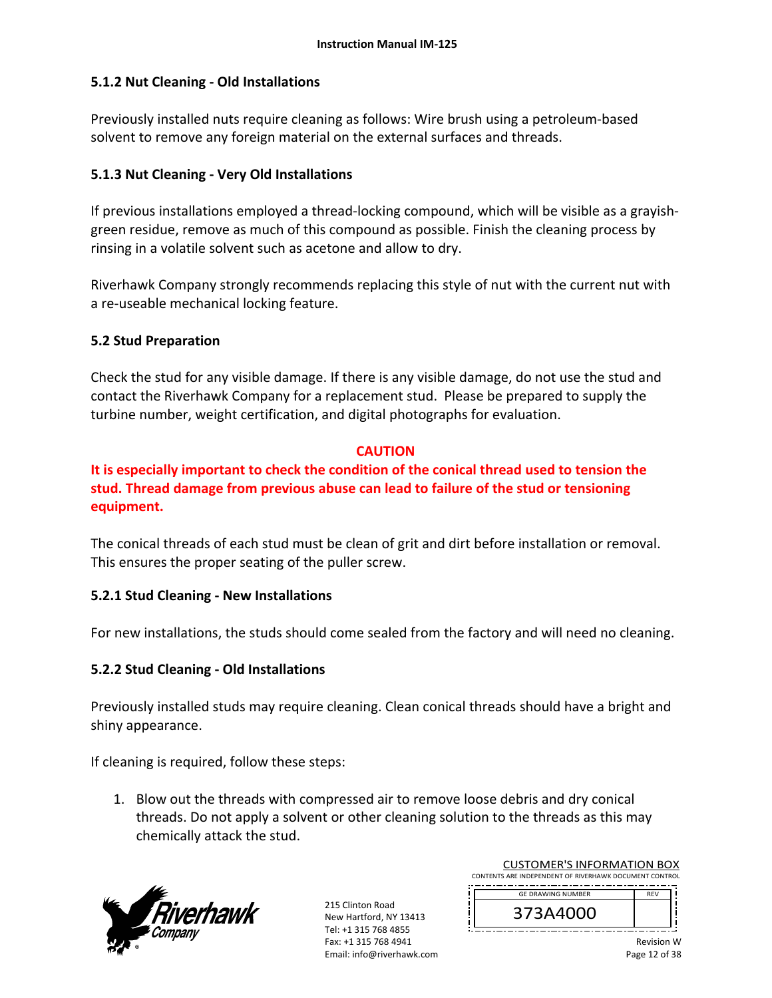## **5.1.2 Nut Cleaning ‐ Old Installations**

Previously installed nuts require cleaning as follows: Wire brush using a petroleum‐based solvent to remove any foreign material on the external surfaces and threads.

## **5.1.3 Nut Cleaning ‐ Very Old Installations**

If previous installations employed a thread-locking compound, which will be visible as a grayishgreen residue, remove as much of this compound as possible. Finish the cleaning process by rinsing in a volatile solvent such as acetone and allow to dry.

Riverhawk Company strongly recommends replacing this style of nut with the current nut with a re‐useable mechanical locking feature.

## **5.2 Stud Preparation**

Check the stud for any visible damage. If there is any visible damage, do not use the stud and contact the Riverhawk Company for a replacement stud. Please be prepared to supply the turbine number, weight certification, and digital photographs for evaluation.

## **CAUTION**

**It is especially important to check the condition of the conical thread used to tension the stud. Thread damage from previous abuse can lead to failure of the stud or tensioning equipment.**

The conical threads of each stud must be clean of grit and dirt before installation or removal. This ensures the proper seating of the puller screw.

## **5.2.1 Stud Cleaning ‐ New Installations**

For new installations, the studs should come sealed from the factory and will need no cleaning.

## **5.2.2 Stud Cleaning ‐ Old Installations**

Previously installed studs may require cleaning. Clean conical threads should have a bright and shiny appearance.

If cleaning is required, follow these steps:

1. Blow out the threads with compressed air to remove loose debris and dry conical threads. Do not apply a solvent or other cleaning solution to the threads as this may chemically attack the stud.



215 Clinton Road New Hartford, NY 13413 Tel: +1 315 768 4855 Fax: +1 315 768 4941 Email: info@riverhawk.com

| <b>GE DRAWING NUMBER</b> |  |
|--------------------------|--|
| 373A4000                 |  |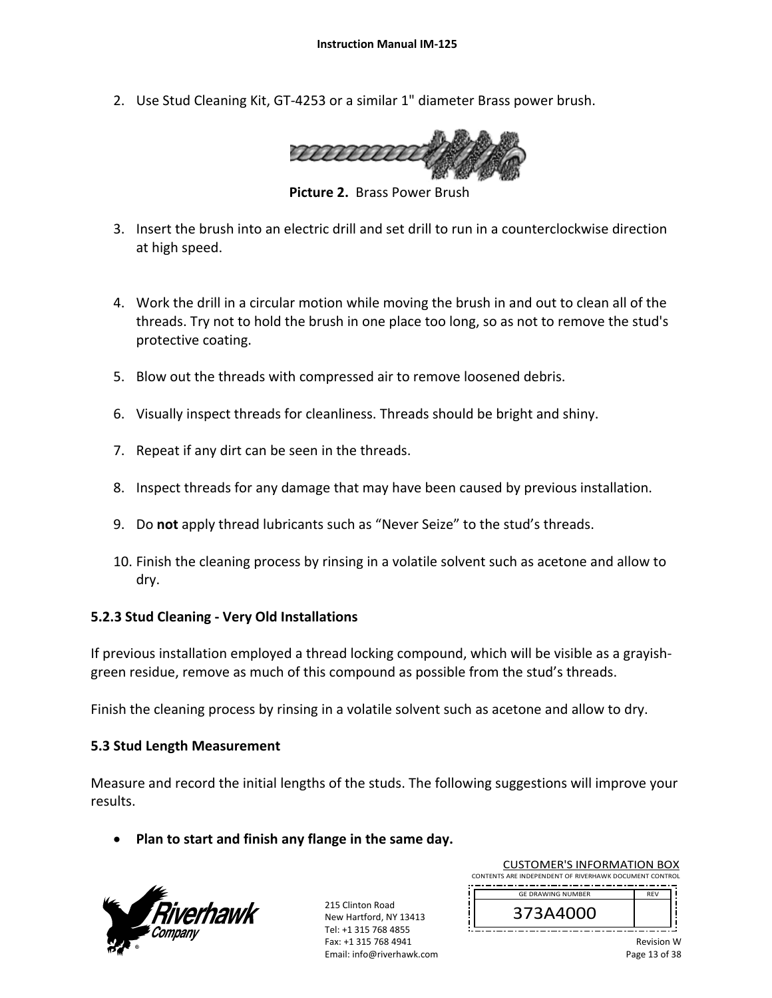2. Use Stud Cleaning Kit, GT‐4253 or a similar 1" diameter Brass power brush.



**Picture 2. Brass Power Brush** 

- 3. Insert the brush into an electric drill and set drill to run in a counterclockwise direction at high speed.
- 4. Work the drill in a circular motion while moving the brush in and out to clean all of the threads. Try not to hold the brush in one place too long, so as not to remove the stud's protective coating.
- 5. Blow out the threads with compressed air to remove loosened debris.
- 6. Visually inspect threads for cleanliness. Threads should be bright and shiny.
- 7. Repeat if any dirt can be seen in the threads.
- 8. Inspect threads for any damage that may have been caused by previous installation.
- 9. Do **not** apply thread lubricants such as "Never Seize" to the stud's threads.
- 10. Finish the cleaning process by rinsing in a volatile solvent such as acetone and allow to dry.

#### **5.2.3 Stud Cleaning ‐ Very Old Installations**

If previous installation employed a thread locking compound, which will be visible as a grayish‐ green residue, remove as much of this compound as possible from the stud's threads.

Finish the cleaning process by rinsing in a volatile solvent such as acetone and allow to dry.

## **5.3 Stud Length Measurement**

Measure and record the initial lengths of the studs. The following suggestions will improve your results.

**Plan to start and finish any flange in the same day.**



215 Clinton Road New Hartford, NY 13413 Tel: +1 315 768 4855 Fax: +1 315 768 4941 Email: info@riverhawk.com

| <b>GE DRAWING NUMBER</b> | <b>REV</b> |
|--------------------------|------------|
| 373A4000                 |            |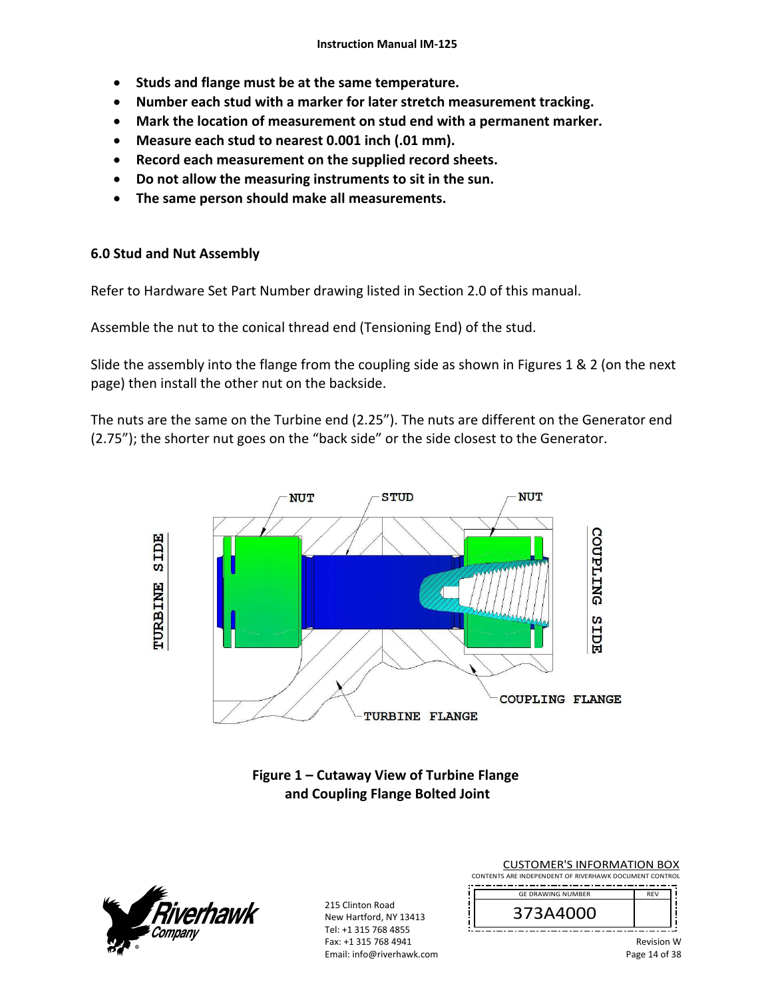- **•** Studs and flange must be at the same temperature.
- **Number each stud with a marker for later stretch measurement tracking.**
- **Mark the location of measurement on stud end with a permanent marker.**
- **Measure each stud to nearest 0.001 inch (.01 mm).**
- **Record each measurement on the supplied record sheets.**
- **Do not allow the measuring instruments to sit in the sun.**
- **The same person should make all measurements.**

### **6.0 Stud and Nut Assembly**

Refer to Hardware Set Part Number drawing listed in Section 2.0 of this manual.

Assemble the nut to the conical thread end (Tensioning End) of the stud.

Slide the assembly into the flange from the coupling side as shown in Figures 1 & 2 (on the next page) then install the other nut on the backside.

The nuts are the same on the Turbine end (2.25"). The nuts are different on the Generator end (2.75"); the shorter nut goes on the "back side" or the side closest to the Generator.



## **Figure 1 – Cutaway View of Turbine Flange and Coupling Flange Bolted Joint**



215 Clinton Road New Hartford, NY 13413 Tel: +1 315 768 4855 Fax: +1 315 768 4941 Email: info@riverhawk.com

CUSTOMER'S INFORMATION BOX CONTENTS ARE INDEPENDENT OF RIVERHAWK DOCUMENT CONTROL

| <b>GE DRAWING NUMBER</b> | FV |
|--------------------------|----|
| 3A4000'<br>э             |    |
| - - -<br>--<br>. .       |    |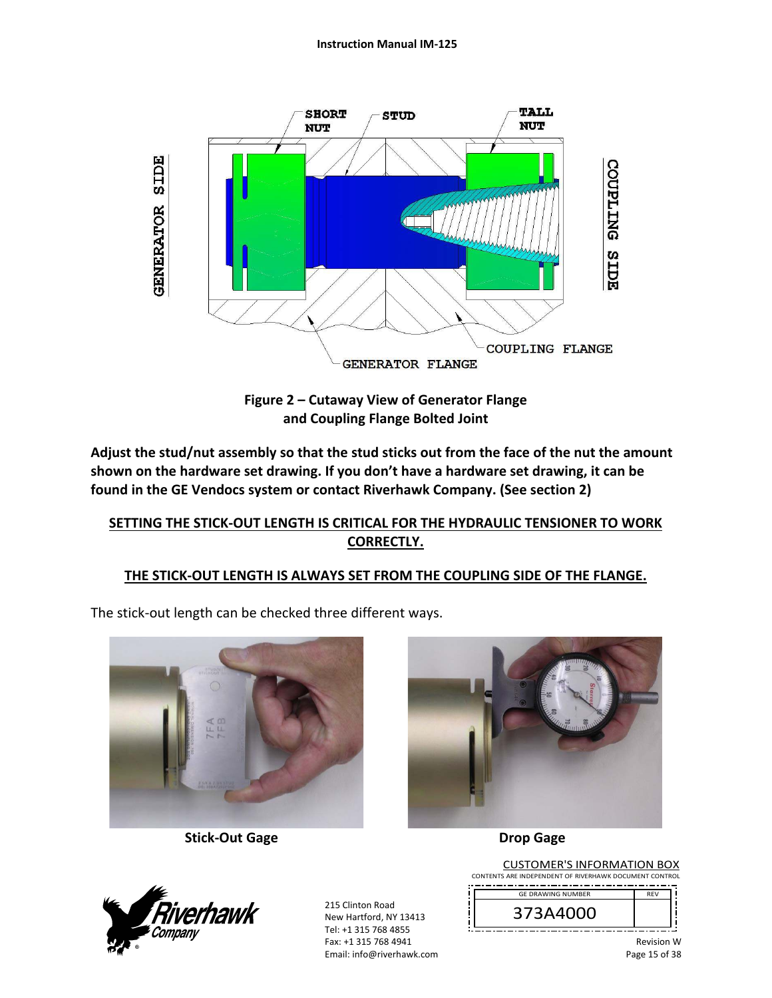

**Figure 2 – Cutaway View of Generator Flange and Coupling Flange Bolted Joint** 

**Adjust the stud/nut assembly so that the stud sticks out from the face of the nut the amount shown on the hardware set drawing. If you don't have a hardware set drawing, it can be found in the GE Vendocs system or contact Riverhawk Company. (See section 2)** 

## **SETTING THE STICK‐OUT LENGTH IS CRITICAL FOR THE HYDRAULIC TENSIONER TO WORK CORRECTLY.**

## **THE STICK‐OUT LENGTH IS ALWAYS SET FROM THE COUPLING SIDE OF THE FLANGE.**

The stick‐out length can be checked three different ways.



 **Stick‐Out Gage Drop Gage** 





215 Clinton Road New Hartford, NY 13413 Tel: +1 315 768 4855 Fax: +1 315 768 4941 Email: info@riverhawk.com

CUSTOMER'S INFORMATION BOX CONTENTS ARE INDEPENDENT OF RIVERHAWK DOCUMENT CONTROL REV GE DRAWING NUMBER

373A4000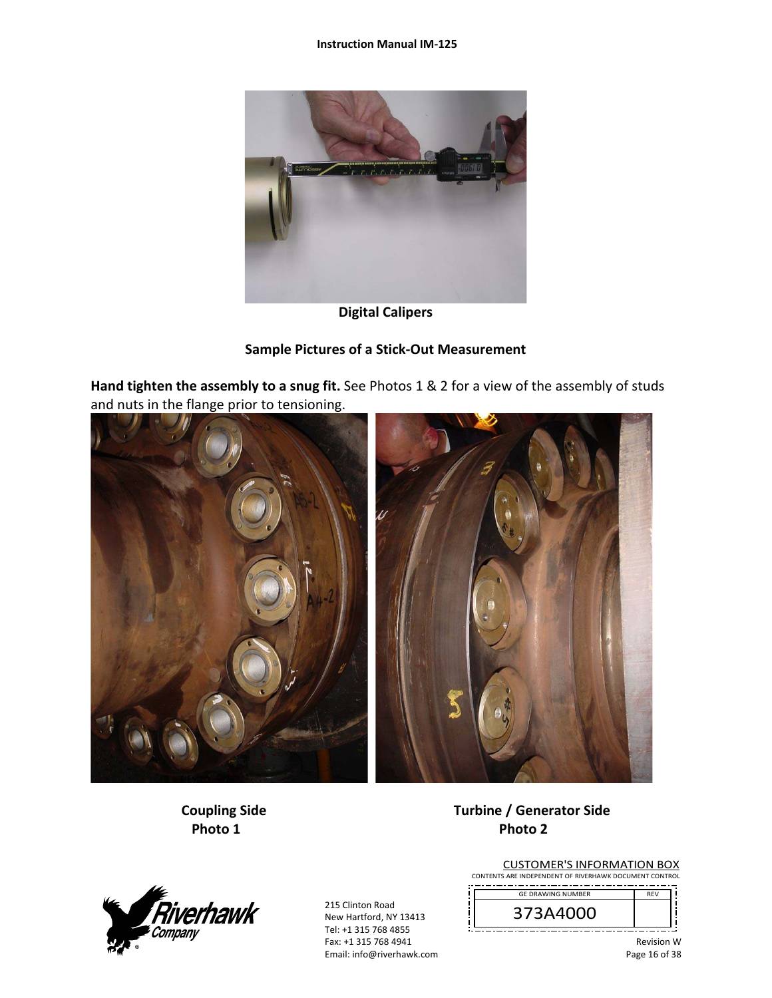

**Digital Calipers** 

## **Sample Pictures of a Stick‐Out Measurement**

**Hand tighten the assembly to a snug fit.** See Photos 1 & 2 for a view of the assembly of studs and nuts in the flange prior to tensioning.



## **Coupling Side Turbine / Generator Side Photo 1 Photo 2**



215 Clinton Road New Hartford, NY 13413 Tel: +1 315 768 4855 Fax: +1 315 768 4941 Email: info@riverhawk.com

|          | <b>RFV</b> |
|----------|------------|
| 73A4000° |            |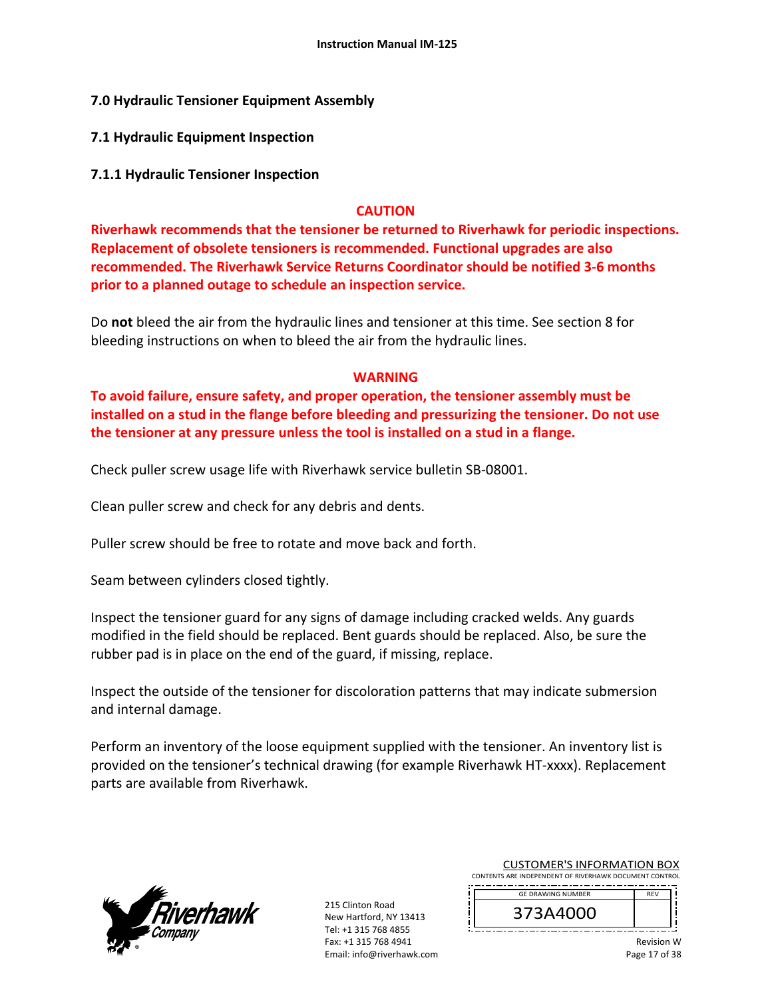## **7.0 Hydraulic Tensioner Equipment Assembly**

**7.1 Hydraulic Equipment Inspection** 

## **7.1.1 Hydraulic Tensioner Inspection**

## **CAUTION**

**Riverhawk recommends that the tensioner be returned to Riverhawk for periodic inspections. Replacement of obsolete tensioners is recommended. Functional upgrades are also recommended. The Riverhawk Service Returns Coordinator should be notified 3‐6 months prior to a planned outage to schedule an inspection service.** 

Do **not** bleed the air from the hydraulic lines and tensioner at this time. See section 8 for bleeding instructions on when to bleed the air from the hydraulic lines.

## **WARNING**

**To avoid failure, ensure safety, and proper operation, the tensioner assembly must be installed on a stud in the flange before bleeding and pressurizing the tensioner. Do not use the tensioner at any pressure unless the tool is installed on a stud in a flange.** 

Check puller screw usage life with Riverhawk service bulletin SB‐08001.

Clean puller screw and check for any debris and dents.

Puller screw should be free to rotate and move back and forth.

Seam between cylinders closed tightly.

Inspect the tensioner guard for any signs of damage including cracked welds. Any guards modified in the field should be replaced. Bent guards should be replaced. Also, be sure the rubber pad is in place on the end of the guard, if missing, replace.

Inspect the outside of the tensioner for discoloration patterns that may indicate submersion and internal damage.

Perform an inventory of the loose equipment supplied with the tensioner. An inventory list is provided on the tensioner's technical drawing (for example Riverhawk HT‐xxxx). Replacement parts are available from Riverhawk.



215 Clinton Road New Hartford, NY 13413 Tel: +1 315 768 4855 Fax: +1 315 768 4941 Email: info@riverhawk.com

| <b>GF DRAWING NUMBER</b> | <b>FV</b> |
|--------------------------|-----------|
| 373A4000                 |           |
|                          |           |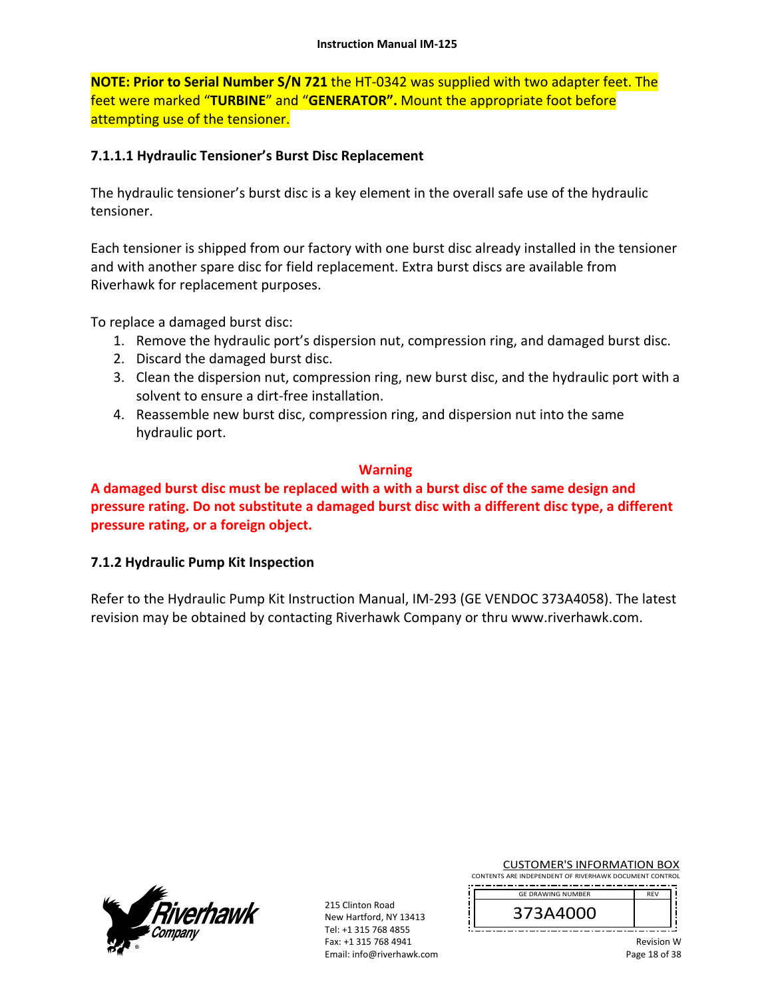**NOTE: Prior to Serial Number S/N 721** the HT‐0342 was supplied with two adapter feet. The feet were marked "**TURBINE**" and "**GENERATOR".** Mount the appropriate foot before attempting use of the tensioner.

## **7.1.1.1 Hydraulic Tensioner's Burst Disc Replacement**

The hydraulic tensioner's burst disc is a key element in the overall safe use of the hydraulic tensioner.

Each tensioner is shipped from our factory with one burst disc already installed in the tensioner and with another spare disc for field replacement. Extra burst discs are available from Riverhawk for replacement purposes.

To replace a damaged burst disc:

- 1. Remove the hydraulic port's dispersion nut, compression ring, and damaged burst disc.
- 2. Discard the damaged burst disc.
- 3. Clean the dispersion nut, compression ring, new burst disc, and the hydraulic port with a solvent to ensure a dirt‐free installation.
- 4. Reassemble new burst disc, compression ring, and dispersion nut into the same hydraulic port.

#### **Warning**

**A damaged burst disc must be replaced with a with a burst disc of the same design and pressure rating. Do not substitute a damaged burst disc with a different disc type, a different pressure rating, or a foreign object.**

## **7.1.2 Hydraulic Pump Kit Inspection**

Refer to the Hydraulic Pump Kit Instruction Manual, IM‐293 (GE VENDOC 373A4058). The latest revision may be obtained by contacting Riverhawk Company or thru www.riverhawk.com.



215 Clinton Road New Hartford, NY 13413 Tel: +1 315 768 4855 Fax: +1 315 768 4941 Email: info@riverhawk.com CUSTOMER'S INFORMATION BOX

| <b>GE DRAWING NUMBER</b> |  |
|--------------------------|--|
| 373A4000                 |  |
|                          |  |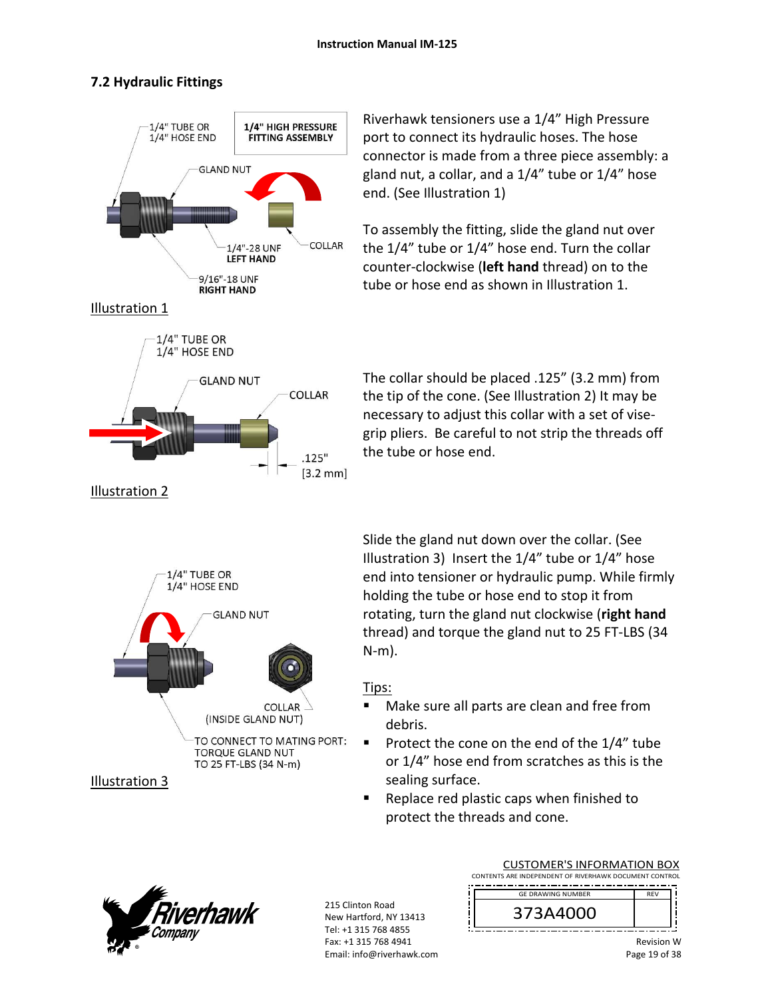## **7.2 Hydraulic Fittings**



Riverhawk tensioners use a 1/4" High Pressure port to connect its hydraulic hoses. The hose connector is made from a three piece assembly: a gland nut, a collar, and a 1/4" tube or 1/4" hose end. (See Illustration 1)

To assembly the fitting, slide the gland nut over the 1/4" tube or 1/4" hose end. Turn the collar counter‐clockwise (**left hand** thread) on to the tube or hose end as shown in Illustration 1.

The collar should be placed .125" (3.2 mm) from the tip of the cone. (See Illustration 2) It may be necessary to adjust this collar with a set of vise‐ grip pliers. Be careful to not strip the threads off the tube or hose end.



Slide the gland nut down over the collar. (See Illustration 3) Insert the 1/4" tube or 1/4" hose end into tensioner or hydraulic pump. While firmly holding the tube or hose end to stop it from rotating, turn the gland nut clockwise (**right hand** thread) and torque the gland nut to 25 FT‐LBS (34 N‐m).

## Tips:

- Make sure all parts are clean and free from debris.
- Protect the cone on the end of the  $1/4$ " tube or 1/4" hose end from scratches as this is the sealing surface.
- Replace red plastic caps when finished to protect the threads and cone.



215 Clinton Road New Hartford, NY 13413 Tel: +1 315 768 4855 Fax: +1 315 768 4941 Email: info@riverhawk.com

CUSTOMER'S INFORMATION BOX CONTENTS ARE INDEPENDENT OF RIVERHAWK DOCUMENT CONTROL 

| 373A4000 | <b>GE DRAWING NUMBER</b> | <b>RFV</b> |
|----------|--------------------------|------------|
|          |                          |            |

j

İ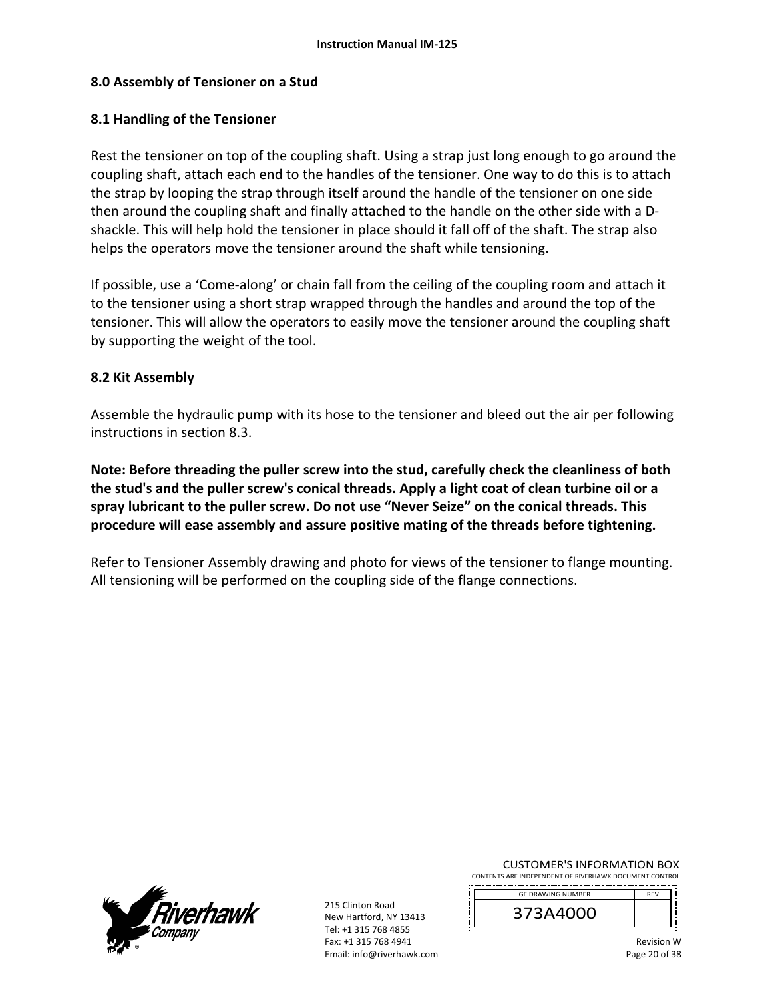## **8.0 Assembly of Tensioner on a Stud**

### **8.1 Handling of the Tensioner**

Rest the tensioner on top of the coupling shaft. Using a strap just long enough to go around the coupling shaft, attach each end to the handles of the tensioner. One way to do this is to attach the strap by looping the strap through itself around the handle of the tensioner on one side then around the coupling shaft and finally attached to the handle on the other side with a D‐ shackle. This will help hold the tensioner in place should it fall off of the shaft. The strap also helps the operators move the tensioner around the shaft while tensioning.

If possible, use a 'Come‐along' or chain fall from the ceiling of the coupling room and attach it to the tensioner using a short strap wrapped through the handles and around the top of the tensioner. This will allow the operators to easily move the tensioner around the coupling shaft by supporting the weight of the tool.

#### **8.2 Kit Assembly**

Assemble the hydraulic pump with its hose to the tensioner and bleed out the air per following instructions in section 8.3.

**Note: Before threading the puller screw into the stud, carefully check the cleanliness of both the stud's and the puller screw's conical threads. Apply a light coat of clean turbine oil or a spray lubricant to the puller screw. Do not use "Never Seize" on the conical threads. This procedure will ease assembly and assure positive mating of the threads before tightening.** 

Refer to Tensioner Assembly drawing and photo for views of the tensioner to flange mounting. All tensioning will be performed on the coupling side of the flange connections.



215 Clinton Road New Hartford, NY 13413 Tel: +1 315 768 4855 Fax: +1 315 768 4941 Email: info@riverhawk.com CUSTOMER'S INFORMATION BOX

| <b>GF DRAWING NUMBER</b> |  |
|--------------------------|--|
| 373A4000                 |  |
|                          |  |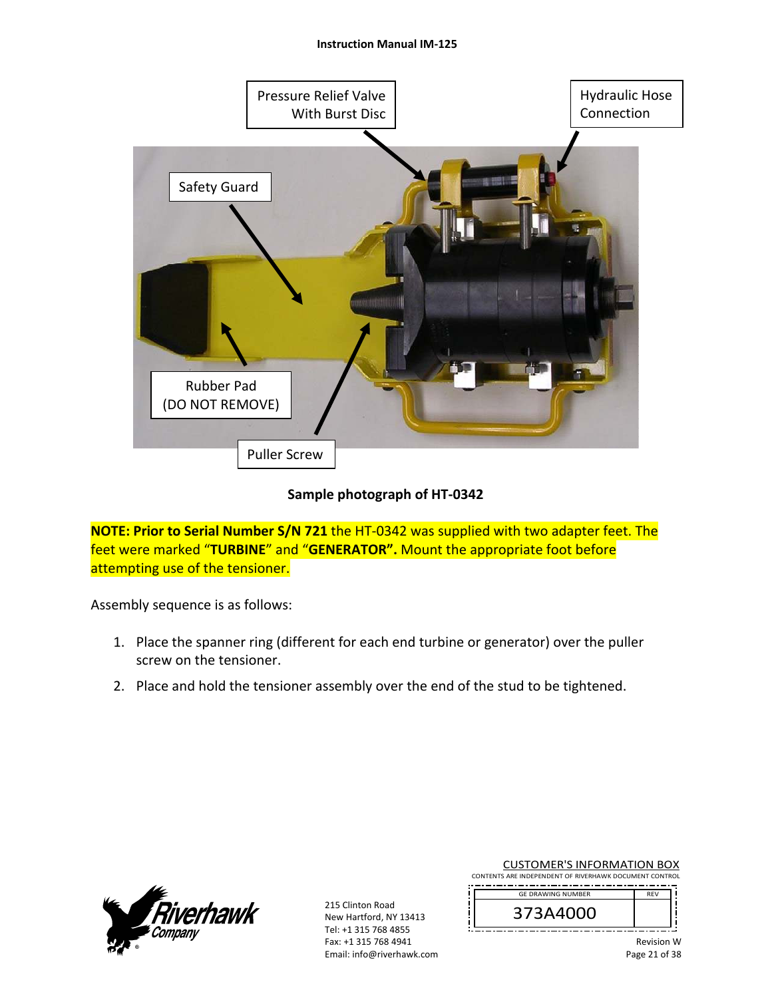#### **Instruction Manual IM‐125**



## **Sample photograph of HT‐0342**

**NOTE: Prior to Serial Number S/N 721** the HT‐0342 was supplied with two adapter feet. The feet were marked "**TURBINE**" and "**GENERATOR".** Mount the appropriate foot before attempting use of the tensioner.

Assembly sequence is as follows:

- 1. Place the spanner ring (different for each end turbine or generator) over the puller screw on the tensioner.
- 2. Place and hold the tensioner assembly over the end of the stud to be tightened.



215 Clinton Road New Hartford, NY 13413 Tel: +1 315 768 4855 Fax: +1 315 768 4941 Email: info@riverhawk.com CUSTOMER'S INFORMATION BOX

| <b>GF DRAWING NUMBER</b> | <b>RFV</b> |
|--------------------------|------------|
| 373A4000                 |            |
|                          |            |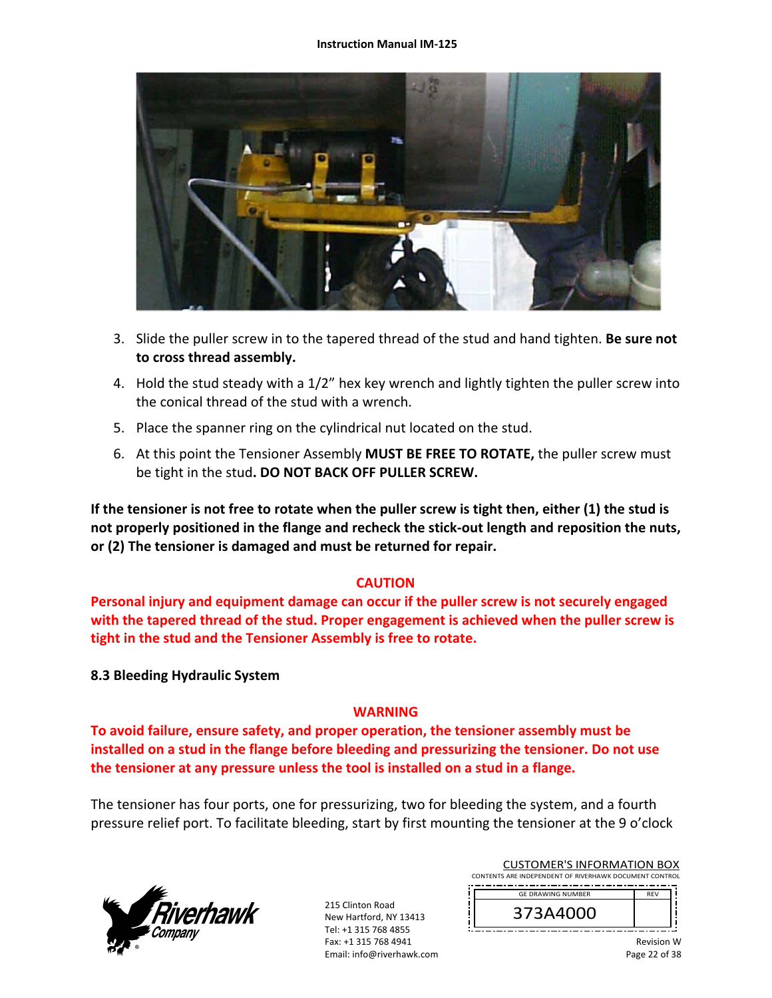

- 3. Slide the puller screw in to the tapered thread of the stud and hand tighten. **Be sure not to cross thread assembly.**
- 4. Hold the stud steady with a 1/2" hex key wrench and lightly tighten the puller screw into the conical thread of the stud with a wrench.
- 5. Place the spanner ring on the cylindrical nut located on the stud.
- 6. At this point the Tensioner Assembly **MUST BE FREE TO ROTATE,** the puller screw must be tight in the stud**. DO NOT BACK OFF PULLER SCREW.**

**If the tensioner is not free to rotate when the puller screw is tight then, either (1) the stud is not properly positioned in the flange and recheck the stick‐out length and reposition the nuts, or (2) The tensioner is damaged and must be returned for repair.** 

#### **CAUTION**

**Personal injury and equipment damage can occur if the puller screw is not securely engaged with the tapered thread of the stud. Proper engagement is achieved when the puller screw is tight in the stud and the Tensioner Assembly is free to rotate.**

#### **8.3 Bleeding Hydraulic System**

#### **WARNING**

**To avoid failure, ensure safety, and proper operation, the tensioner assembly must be installed on a stud in the flange before bleeding and pressurizing the tensioner. Do not use the tensioner at any pressure unless the tool is installed on a stud in a flange.** 

The tensioner has four ports, one for pressurizing, two for bleeding the system, and a fourth pressure relief port. To facilitate bleeding, start by first mounting the tensioner at the 9 o'clock



215 Clinton Road New Hartford, NY 13413 Tel: +1 315 768 4855 Fax: +1 315 768 4941 Email: info@riverhawk.com

| <b>GE DRAWING NUMBER</b> | <b>RFV</b> |
|--------------------------|------------|
| '3A4UUO<br>⊃             |            |
|                          |            |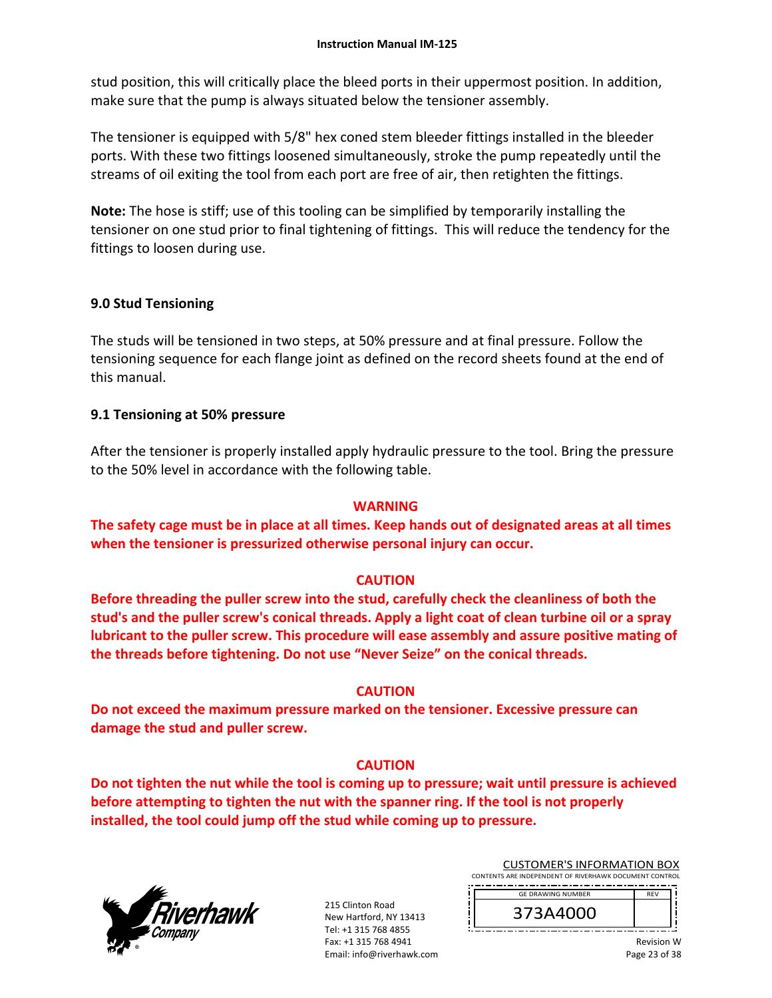stud position, this will critically place the bleed ports in their uppermost position. In addition, make sure that the pump is always situated below the tensioner assembly.

The tensioner is equipped with 5/8" hex coned stem bleeder fittings installed in the bleeder ports. With these two fittings loosened simultaneously, stroke the pump repeatedly until the streams of oil exiting the tool from each port are free of air, then retighten the fittings.

**Note:** The hose is stiff; use of this tooling can be simplified by temporarily installing the tensioner on one stud prior to final tightening of fittings. This will reduce the tendency for the fittings to loosen during use.

## **9.0 Stud Tensioning**

The studs will be tensioned in two steps, at 50% pressure and at final pressure. Follow the tensioning sequence for each flange joint as defined on the record sheets found at the end of this manual.

## **9.1 Tensioning at 50% pressure**

After the tensioner is properly installed apply hydraulic pressure to the tool. Bring the pressure to the 50% level in accordance with the following table.

## **WARNING**

**The safety cage must be in place at all times. Keep hands out of designated areas at all times when the tensioner is pressurized otherwise personal injury can occur.** 

## **CAUTION**

**Before threading the puller screw into the stud, carefully check the cleanliness of both the stud's and the puller screw's conical threads. Apply a light coat of clean turbine oil or a spray lubricant to the puller screw. This procedure will ease assembly and assure positive mating of the threads before tightening. Do not use "Never Seize" on the conical threads.** 

#### **CAUTION**

**Do not exceed the maximum pressure marked on the tensioner. Excessive pressure can damage the stud and puller screw.** 

## **CAUTION**

**Do not tighten the nut while the tool is coming up to pressure; wait until pressure is achieved before attempting to tighten the nut with the spanner ring. If the tool is not properly installed, the tool could jump off the stud while coming up to pressure.**



215 Clinton Road New Hartford, NY 13413 Tel: +1 315 768 4855 Fax: +1 315 768 4941 Email: info@riverhawk.com

| <b>GE DRAWING NUMBER</b> | <b>REV</b> |
|--------------------------|------------|
| 373A4000                 |            |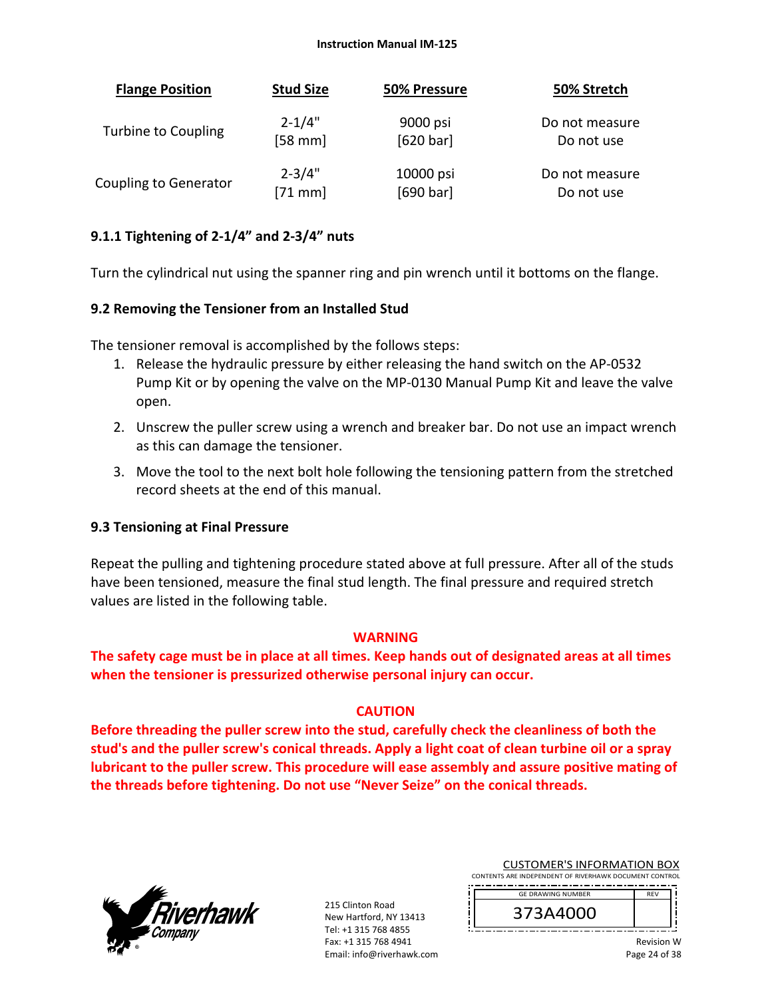| <b>Flange Position</b> | <b>Stud Size</b> | 50% Pressure | 50% Stretch    |
|------------------------|------------------|--------------|----------------|
| Turbine to Coupling    | $2 - 1/4"$       | 9000 psi     | Do not measure |
|                        | $[58$ mm         | [620 bar]    | Do not use     |
| Coupling to Generator  | $2 - 3/4"$       | 10000 psi    | Do not measure |
|                        | $[71$ mm]        | [690 bar]    | Do not use     |

## **9.1.1 Tightening of 2‐1/4" and 2‐3/4" nuts**

Turn the cylindrical nut using the spanner ring and pin wrench until it bottoms on the flange.

#### **9.2 Removing the Tensioner from an Installed Stud**

The tensioner removal is accomplished by the follows steps:

- 1. Release the hydraulic pressure by either releasing the hand switch on the AP‐0532 Pump Kit or by opening the valve on the MP‐0130 Manual Pump Kit and leave the valve open.
- 2. Unscrew the puller screw using a wrench and breaker bar. Do not use an impact wrench as this can damage the tensioner.
- 3. Move the tool to the next bolt hole following the tensioning pattern from the stretched record sheets at the end of this manual.

#### **9.3 Tensioning at Final Pressure**

Repeat the pulling and tightening procedure stated above at full pressure. After all of the studs have been tensioned, measure the final stud length. The final pressure and required stretch values are listed in the following table.

#### **WARNING**

**The safety cage must be in place at all times. Keep hands out of designated areas at all times when the tensioner is pressurized otherwise personal injury can occur.** 

## **CAUTION**

**Before threading the puller screw into the stud, carefully check the cleanliness of both the stud's and the puller screw's conical threads. Apply a light coat of clean turbine oil or a spray lubricant to the puller screw. This procedure will ease assembly and assure positive mating of the threads before tightening. Do not use "Never Seize" on the conical threads.** 



215 Clinton Road New Hartford, NY 13413 Tel: +1 315 768 4855 Fax: +1 315 768 4941 Email: info@riverhawk.com

CUSTOMER'S INFORMATION BOX CONTENTS ARE INDEPENDENT OF RIVERHAWK DOCUMENT CONTROL

| <b>GE DRAWING NUMBER</b> |  |
|--------------------------|--|
| 373A4000                 |  |
|                          |  |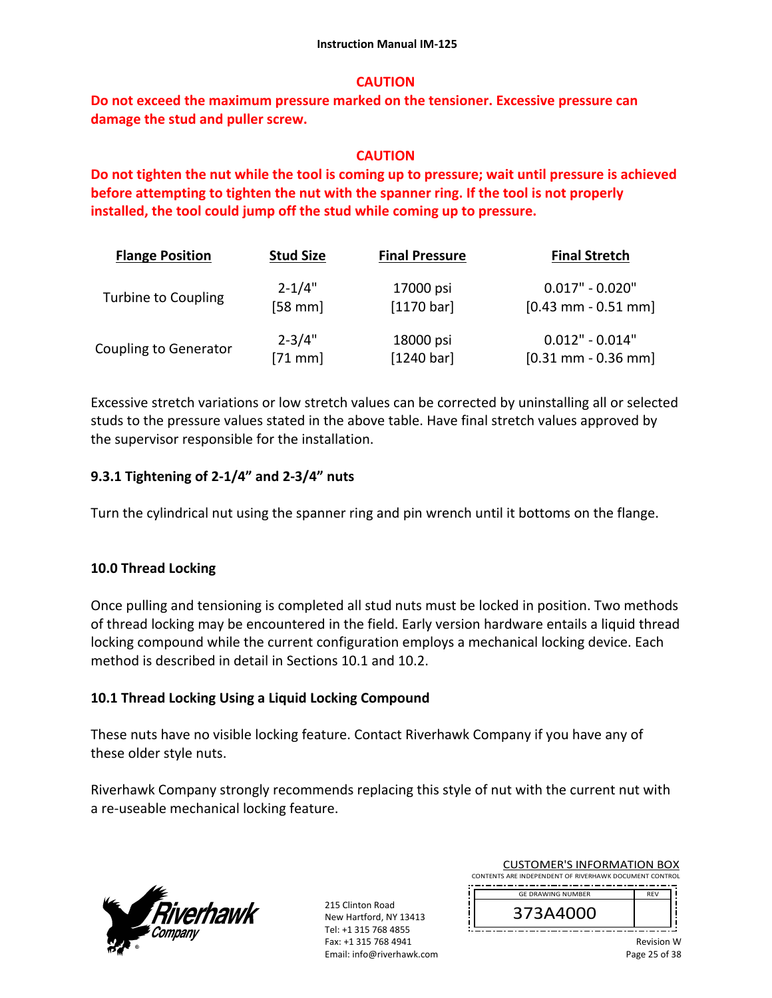## **CAUTION**

**Do not exceed the maximum pressure marked on the tensioner. Excessive pressure can damage the stud and puller screw.** 

## **CAUTION**

**Do not tighten the nut while the tool is coming up to pressure; wait until pressure is achieved before attempting to tighten the nut with the spanner ring. If the tool is not properly installed, the tool could jump off the stud while coming up to pressure.**

| <b>Flange Position</b>     | <b>Stud Size</b> | <b>Final Pressure</b> | <b>Final Stretch</b>  |
|----------------------------|------------------|-----------------------|-----------------------|
| <b>Turbine to Coupling</b> | $2 - 1/4"$       | 17000 psi             | $0.017" - 0.020"$     |
|                            | $[58$ mm         | [1170 bar]            | $[0.43$ mm - 0.51 mm] |
| Coupling to Generator      | $2 - 3/4"$       | 18000 psi             | $0.012" - 0.014"$     |
|                            | $[71$ mm]        | [1240 bar]            | $[0.31$ mm - 0.36 mm] |

Excessive stretch variations or low stretch values can be corrected by uninstalling all or selected studs to the pressure values stated in the above table. Have final stretch values approved by the supervisor responsible for the installation.

## **9.3.1 Tightening of 2‐1/4" and 2‐3/4" nuts**

Turn the cylindrical nut using the spanner ring and pin wrench until it bottoms on the flange.

## **10.0 Thread Locking**

Once pulling and tensioning is completed all stud nuts must be locked in position. Two methods of thread locking may be encountered in the field. Early version hardware entails a liquid thread locking compound while the current configuration employs a mechanical locking device. Each method is described in detail in Sections 10.1 and 10.2.

## **10.1 Thread Locking Using a Liquid Locking Compound**

These nuts have no visible locking feature. Contact Riverhawk Company if you have any of these older style nuts.

Riverhawk Company strongly recommends replacing this style of nut with the current nut with a re‐useable mechanical locking feature.



215 Clinton Road New Hartford, NY 13413 Tel: +1 315 768 4855 Fax: +1 315 768 4941 Email: info@riverhawk.com

| <b>GF DRAWING NUMBER</b> |  |
|--------------------------|--|
| 373A4000                 |  |
|                          |  |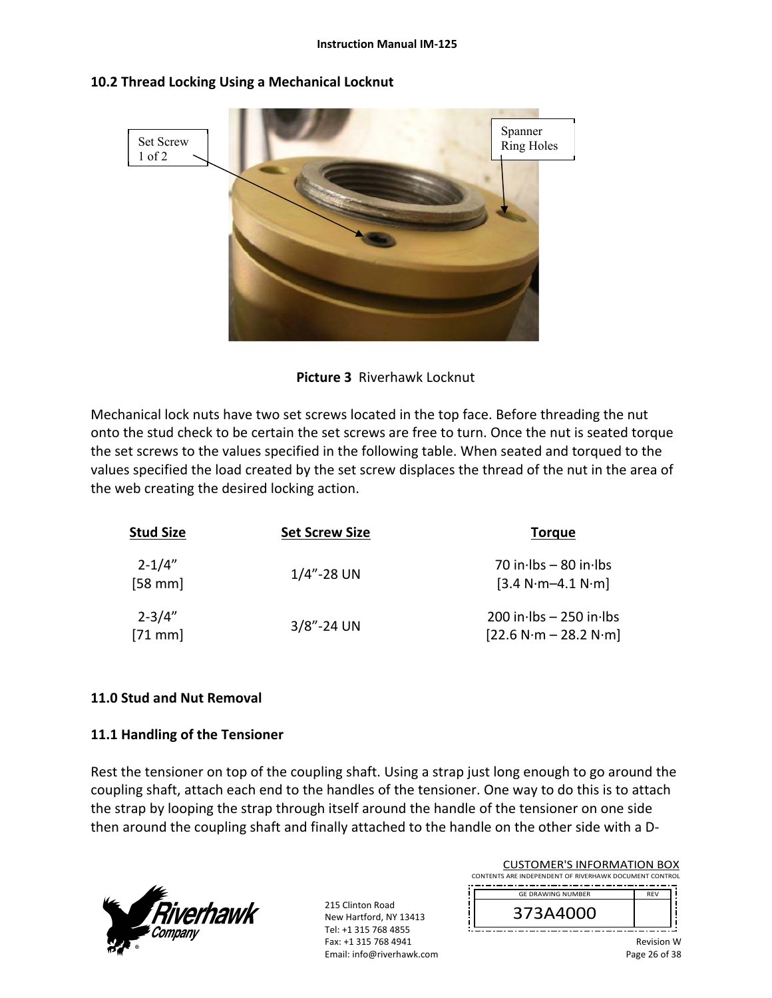

## **10.2 Thread Locking Using a Mechanical Locknut**



Mechanical lock nuts have two set screws located in the top face. Before threading the nut onto the stud check to be certain the set screws are free to turn. Once the nut is seated torque the set screws to the values specified in the following table. When seated and torqued to the values specified the load created by the set screw displaces the thread of the nut in the area of the web creating the desired locking action.

| <b>Stud Size</b>        | <b>Set Screw Size</b> | <b>Torgue</b>                                                        |
|-------------------------|-----------------------|----------------------------------------------------------------------|
| $2 - 1/4"$<br>$[58$ mm  | $1/4$ "-28 UN         | 70 in $\cdot$ lbs - 80 in $\cdot$ lbs<br>$[3.4 N·m-4.1 N·m]$         |
| $2 - 3/4"$<br>$[71$ mm] | $3/8$ "-24 UN         | $200$ in $\cdot$ lbs - 250 in $\cdot$ lbs<br>$[22.6 N·m - 28.2 N·m]$ |

## **11.0 Stud and Nut Removal**

#### **11.1 Handling of the Tensioner**

Rest the tensioner on top of the coupling shaft. Using a strap just long enough to go around the coupling shaft, attach each end to the handles of the tensioner. One way to do this is to attach the strap by looping the strap through itself around the handle of the tensioner on one side then around the coupling shaft and finally attached to the handle on the other side with a D‐



215 Clinton Road New Hartford, NY 13413 Tel: +1 315 768 4855 Fax: +1 315 768 4941 Email: info@riverhawk.com

|                                                        |  | <b>CUSTOMER'S INFORMATION BOX</b> |  |  |  |
|--------------------------------------------------------|--|-----------------------------------|--|--|--|
| CONTENTS ARE INDEPENDENT OF RIVERHAWK DOCUMENT CONTROL |  |                                   |  |  |  |
|                                                        |  |                                   |  |  |  |

| <b>GE DRAWING NUMBER</b> | <b>REV</b> |
|--------------------------|------------|
| 44U)                     |            |
|                          |            |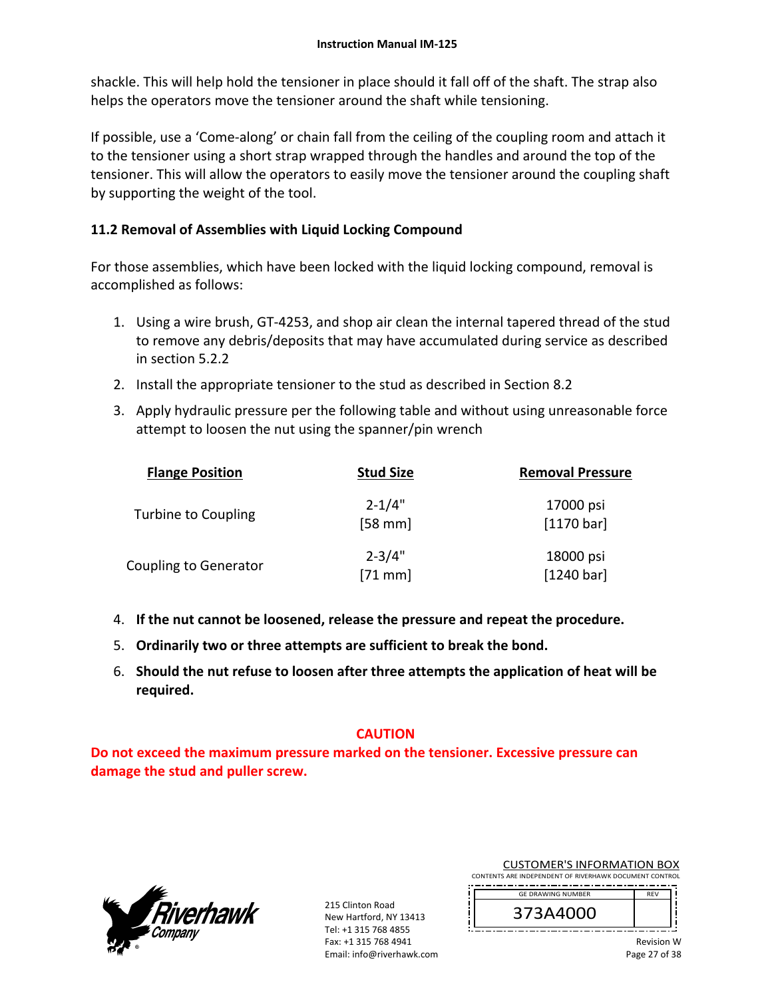shackle. This will help hold the tensioner in place should it fall off of the shaft. The strap also helps the operators move the tensioner around the shaft while tensioning.

If possible, use a 'Come‐along' or chain fall from the ceiling of the coupling room and attach it to the tensioner using a short strap wrapped through the handles and around the top of the tensioner. This will allow the operators to easily move the tensioner around the coupling shaft by supporting the weight of the tool.

## **11.2 Removal of Assemblies with Liquid Locking Compound**

For those assemblies, which have been locked with the liquid locking compound, removal is accomplished as follows:

- 1. Using a wire brush, GT‐4253, and shop air clean the internal tapered thread of the stud to remove any debris/deposits that may have accumulated during service as described in section 5.2.2
- 2. Install the appropriate tensioner to the stud as described in Section 8.2
- 3. Apply hydraulic pressure per the following table and without using unreasonable force attempt to loosen the nut using the spanner/pin wrench

| <b>Flange Position</b>       | <b>Stud Size</b>        | <b>Removal Pressure</b> |
|------------------------------|-------------------------|-------------------------|
| Turbine to Coupling          | $2 - 1/4"$<br>$[58$ mm] | 17000 psi<br>[1170 bar] |
| <b>Coupling to Generator</b> | $2 - 3/4"$<br>$[71$ mm] | 18000 psi<br>[1240 bar] |

- 4. **If the nut cannot be loosened, release the pressure and repeat the procedure.**
- 5. **Ordinarily two or three attempts are sufficient to break the bond.**
- 6. **Should the nut refuse to loosen after three attempts the application of heat will be required.**

## **CAUTION**

**Do not exceed the maximum pressure marked on the tensioner. Excessive pressure can damage the stud and puller screw.** 



215 Clinton Road New Hartford, NY 13413 Tel: +1 315 768 4855 Fax: +1 315 768 4941 Email: info@riverhawk.com CUSTOMER'S INFORMATION BOX

| <b>GF DRAWING NUMBER</b> | <b>RFV</b> |
|--------------------------|------------|
| 373A4000                 |            |
|                          |            |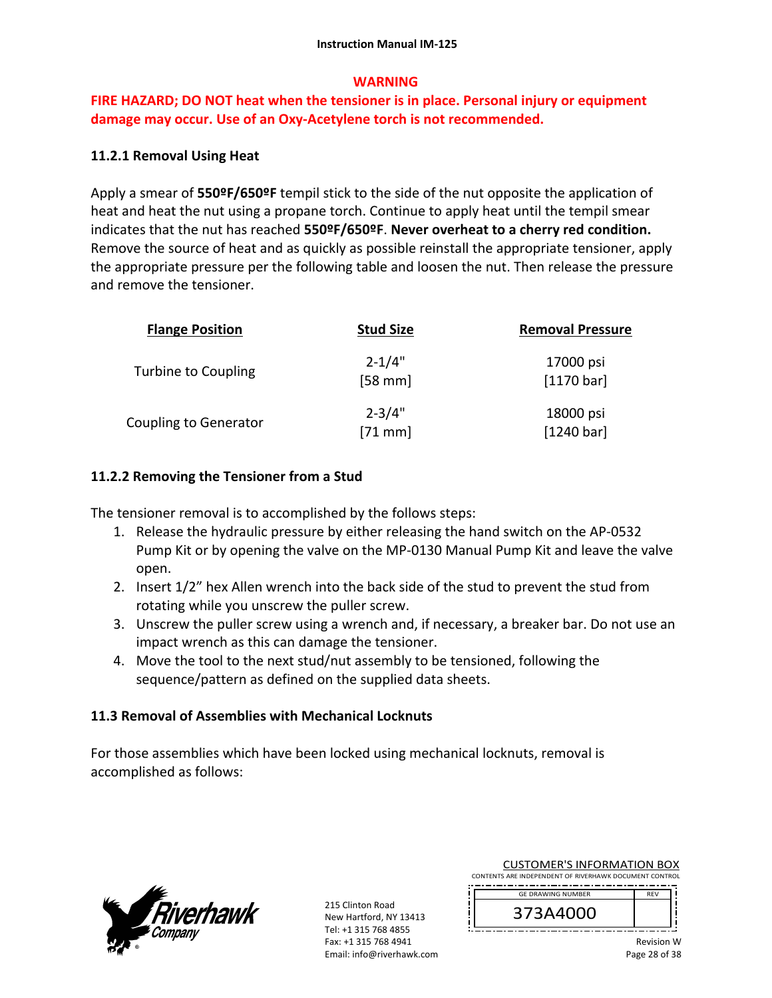## **WARNING**

## **FIRE HAZARD; DO NOT heat when the tensioner is in place. Personal injury or equipment damage may occur. Use of an Oxy‐Acetylene torch is not recommended.**

## **11.2.1 Removal Using Heat**

Apply a smear of **550ºF/650ºF** tempil stick to the side of the nut opposite the application of heat and heat the nut using a propane torch. Continue to apply heat until the tempil smear indicates that the nut has reached **550ºF/650ºF**. **Never overheat to a cherry red condition.** Remove the source of heat and as quickly as possible reinstall the appropriate tensioner, apply the appropriate pressure per the following table and loosen the nut. Then release the pressure and remove the tensioner.

| <b>Flange Position</b>       | <b>Stud Size</b>        | <b>Removal Pressure</b>           |
|------------------------------|-------------------------|-----------------------------------|
| Turbine to Coupling          | $2 - 1/4"$<br>$[58$ mm] | 17000 psi<br>$[1170 \text{ bar}]$ |
| <b>Coupling to Generator</b> | $2 - 3/4"$<br>$[71$ mm] | 18000 psi<br>[1240 bar]           |

## **11.2.2 Removing the Tensioner from a Stud**

The tensioner removal is to accomplished by the follows steps:

- 1. Release the hydraulic pressure by either releasing the hand switch on the AP‐0532 Pump Kit or by opening the valve on the MP‐0130 Manual Pump Kit and leave the valve open.
- 2. Insert 1/2" hex Allen wrench into the back side of the stud to prevent the stud from rotating while you unscrew the puller screw.
- 3. Unscrew the puller screw using a wrench and, if necessary, a breaker bar. Do not use an impact wrench as this can damage the tensioner.
- 4. Move the tool to the next stud/nut assembly to be tensioned, following the sequence/pattern as defined on the supplied data sheets.

## **11.3 Removal of Assemblies with Mechanical Locknuts**

For those assemblies which have been locked using mechanical locknuts, removal is accomplished as follows:



215 Clinton Road New Hartford, NY 13413 Tel: +1 315 768 4855 Fax: +1 315 768 4941 Email: info@riverhawk.com

CUSTOMER'S INFORMATION BOX CONTENTS ARE INDEPENDENT OF RIVERHAWK DOCUMENT CONTROL

| <b>GF DRAWING NUMBER</b> | <b>RFV</b> |
|--------------------------|------------|
| 373A4000                 |            |
|                          |            |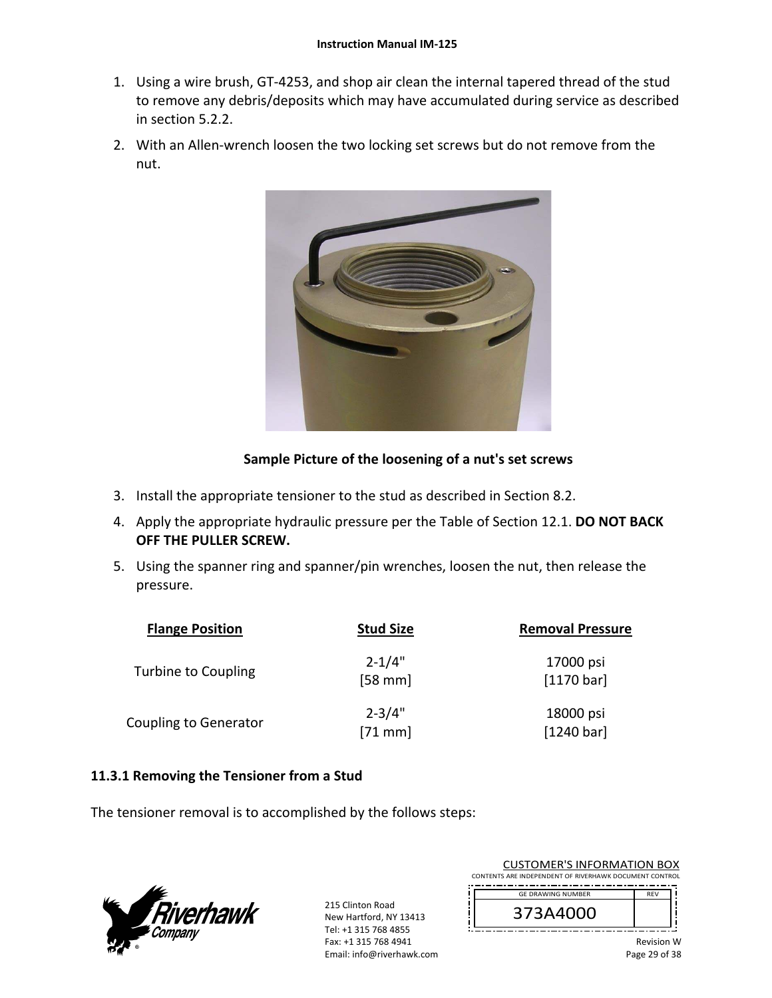- 1. Using a wire brush, GT‐4253, and shop air clean the internal tapered thread of the stud to remove any debris/deposits which may have accumulated during service as described in section 5.2.2.
- 2. With an Allen-wrench loosen the two locking set screws but do not remove from the nut.



## **Sample Picture of the loosening of a nut's set screws**

- 3. Install the appropriate tensioner to the stud as described in Section 8.2.
- 4. Apply the appropriate hydraulic pressure per the Table of Section 12.1. **DO NOT BACK OFF THE PULLER SCREW.**
- 5. Using the spanner ring and spanner/pin wrenches, loosen the nut, then release the pressure.

| <b>Flange Position</b>       | <b>Stud Size</b>        | <b>Removal Pressure</b> |
|------------------------------|-------------------------|-------------------------|
| Turbine to Coupling          | $2 - 1/4"$<br>$[58$ mm] | 17000 psi<br>[1170 bar] |
| <b>Coupling to Generator</b> | $2 - 3/4"$<br>$[71$ mm  | 18000 psi<br>[1240 bar] |

## **11.3.1 Removing the Tensioner from a Stud**

The tensioner removal is to accomplished by the follows steps:



215 Clinton Road New Hartford, NY 13413 Tel: +1 315 768 4855 Fax: +1 315 768 4941 Email: info@riverhawk.com

| <b>CUSTOMER'S INFORMATION BOX</b>                      |  |  |
|--------------------------------------------------------|--|--|
| CONTENTS ARE INDEPENDENT OF RIVERHAWK DOCUMENT CONTROL |  |  |
|                                                        |  |  |

| <b>GE DRAWING NUMBER</b> | <b>REV</b> |
|--------------------------|------------|
| 373A4000                 |            |
|                          |            |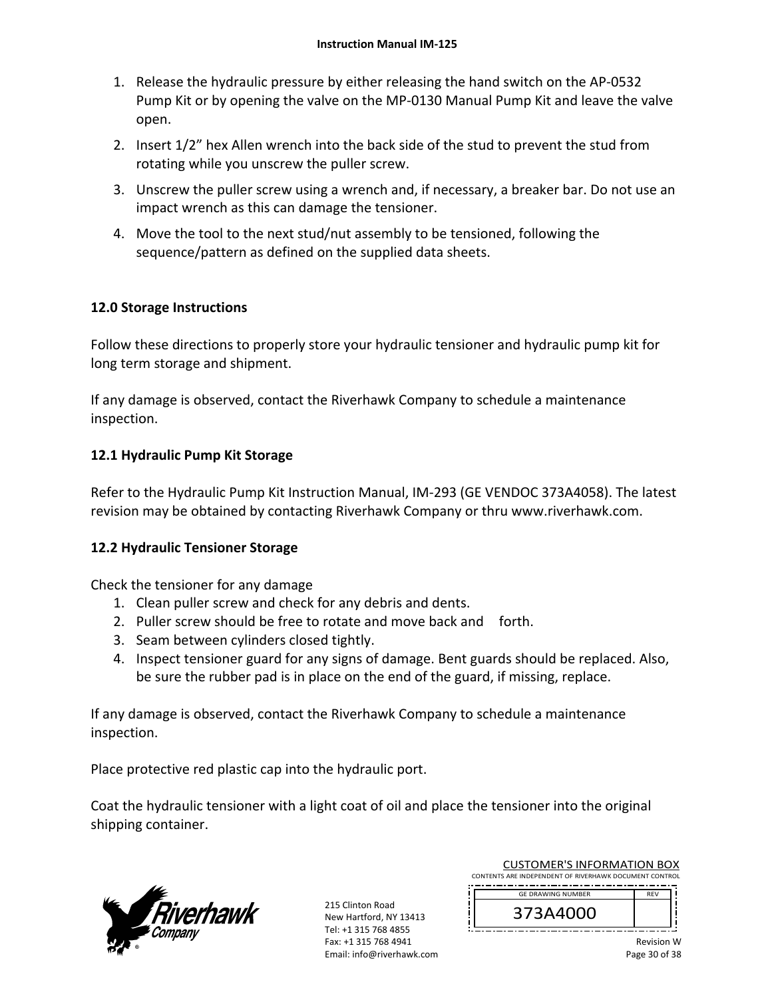- 1. Release the hydraulic pressure by either releasing the hand switch on the AP‐0532 Pump Kit or by opening the valve on the MP‐0130 Manual Pump Kit and leave the valve open.
- 2. Insert 1/2" hex Allen wrench into the back side of the stud to prevent the stud from rotating while you unscrew the puller screw.
- 3. Unscrew the puller screw using a wrench and, if necessary, a breaker bar. Do not use an impact wrench as this can damage the tensioner.
- 4. Move the tool to the next stud/nut assembly to be tensioned, following the sequence/pattern as defined on the supplied data sheets.

## **12.0 Storage Instructions**

Follow these directions to properly store your hydraulic tensioner and hydraulic pump kit for long term storage and shipment.

If any damage is observed, contact the Riverhawk Company to schedule a maintenance inspection.

## **12.1 Hydraulic Pump Kit Storage**

Refer to the Hydraulic Pump Kit Instruction Manual, IM‐293 (GE VENDOC 373A4058). The latest revision may be obtained by contacting Riverhawk Company or thru www.riverhawk.com.

## **12.2 Hydraulic Tensioner Storage**

Check the tensioner for any damage

- 1. Clean puller screw and check for any debris and dents.
- 2. Puller screw should be free to rotate and move back and forth.
- 3. Seam between cylinders closed tightly.
- 4. Inspect tensioner guard for any signs of damage. Bent guards should be replaced. Also, be sure the rubber pad is in place on the end of the guard, if missing, replace.

If any damage is observed, contact the Riverhawk Company to schedule a maintenance inspection.

Place protective red plastic cap into the hydraulic port.

Coat the hydraulic tensioner with a light coat of oil and place the tensioner into the original shipping container.



215 Clinton Road New Hartford, NY 13413 Tel: +1 315 768 4855 Fax: +1 315 768 4941 Email: info@riverhawk.com

| <b>GE DRAWING NUMBER</b> | <b>REV</b> |
|--------------------------|------------|
| 373A4000                 |            |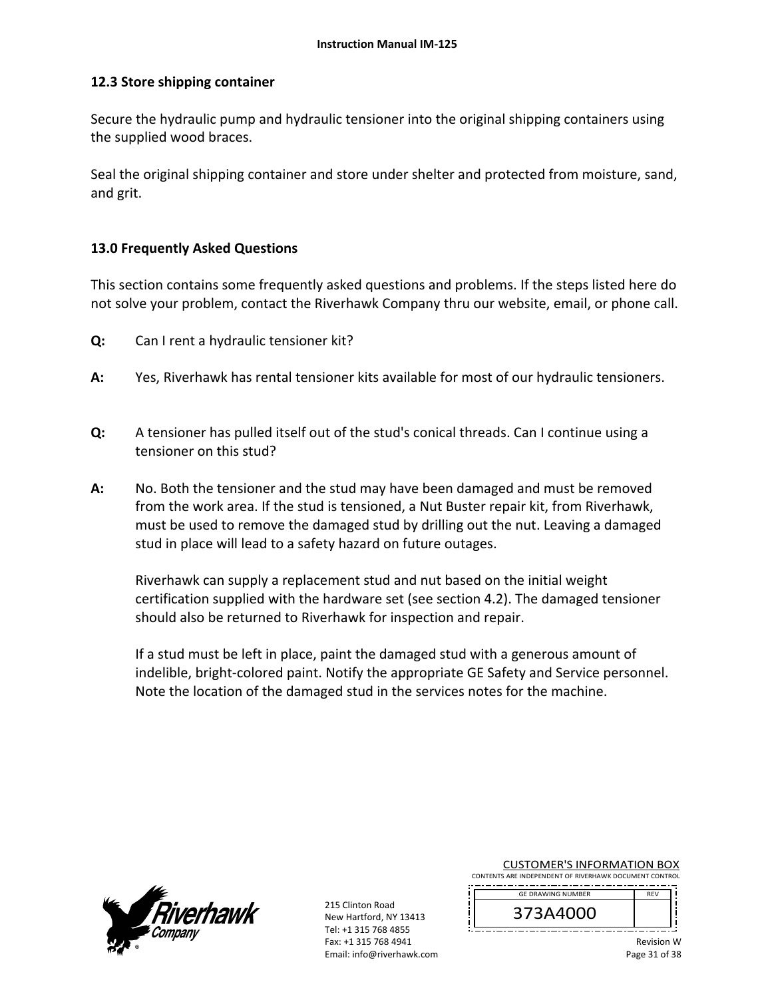### **12.3 Store shipping container**

Secure the hydraulic pump and hydraulic tensioner into the original shipping containers using the supplied wood braces.

Seal the original shipping container and store under shelter and protected from moisture, sand, and grit.

### **13.0 Frequently Asked Questions**

This section contains some frequently asked questions and problems. If the steps listed here do not solve your problem, contact the Riverhawk Company thru our website, email, or phone call.

- **Q:**  Can I rent a hydraulic tensioner kit?
- **A:**  Yes, Riverhawk has rental tensioner kits available for most of our hydraulic tensioners.
- **Q:**  A tensioner has pulled itself out of the stud's conical threads. Can I continue using a tensioner on this stud?
- **A:**  No. Both the tensioner and the stud may have been damaged and must be removed from the work area. If the stud is tensioned, a Nut Buster repair kit, from Riverhawk, must be used to remove the damaged stud by drilling out the nut. Leaving a damaged stud in place will lead to a safety hazard on future outages.

Riverhawk can supply a replacement stud and nut based on the initial weight certification supplied with the hardware set (see section 4.2). The damaged tensioner should also be returned to Riverhawk for inspection and repair.

If a stud must be left in place, paint the damaged stud with a generous amount of indelible, bright‐colored paint. Notify the appropriate GE Safety and Service personnel. Note the location of the damaged stud in the services notes for the machine.



215 Clinton Road New Hartford, NY 13413 Tel: +1 315 768 4855 Fax: +1 315 768 4941 Email: info@riverhawk.com CUSTOMER'S INFORMATION BOX

| <b>GF DRAWING NUMBER</b> | <b>RFV</b> |
|--------------------------|------------|
| 373A4000                 |            |
|                          |            |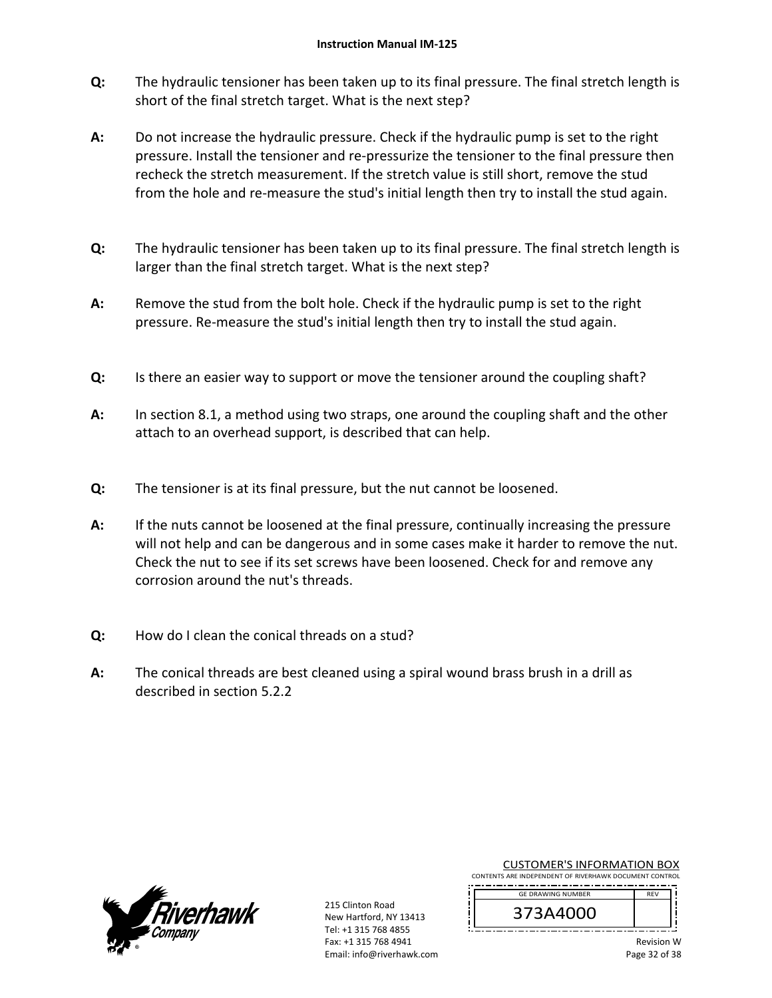- **Q:**  The hydraulic tensioner has been taken up to its final pressure. The final stretch length is short of the final stretch target. What is the next step?
- **A:**  Do not increase the hydraulic pressure. Check if the hydraulic pump is set to the right pressure. Install the tensioner and re‐pressurize the tensioner to the final pressure then recheck the stretch measurement. If the stretch value is still short, remove the stud from the hole and re-measure the stud's initial length then try to install the stud again.
- **Q:**  The hydraulic tensioner has been taken up to its final pressure. The final stretch length is larger than the final stretch target. What is the next step?
- **A:**  Remove the stud from the bolt hole. Check if the hydraulic pump is set to the right pressure. Re‐measure the stud's initial length then try to install the stud again.
- **Q:**  Is there an easier way to support or move the tensioner around the coupling shaft?
- **A:**  In section 8.1, a method using two straps, one around the coupling shaft and the other attach to an overhead support, is described that can help.
- **Q:**  The tensioner is at its final pressure, but the nut cannot be loosened.
- **A:**  If the nuts cannot be loosened at the final pressure, continually increasing the pressure will not help and can be dangerous and in some cases make it harder to remove the nut. Check the nut to see if its set screws have been loosened. Check for and remove any corrosion around the nut's threads.
- **Q:**  How do I clean the conical threads on a stud?
- **A:**  The conical threads are best cleaned using a spiral wound brass brush in a drill as described in section 5.2.2



215 Clinton Road New Hartford, NY 13413 Tel: +1 315 768 4855 Fax: +1 315 768 4941 Email: info@riverhawk.com CUSTOMER'S INFORMATION BOX

| <b>GF DRAWING NUMBER</b> | <b>RFV</b> |
|--------------------------|------------|
| 373A4000                 |            |
|                          |            |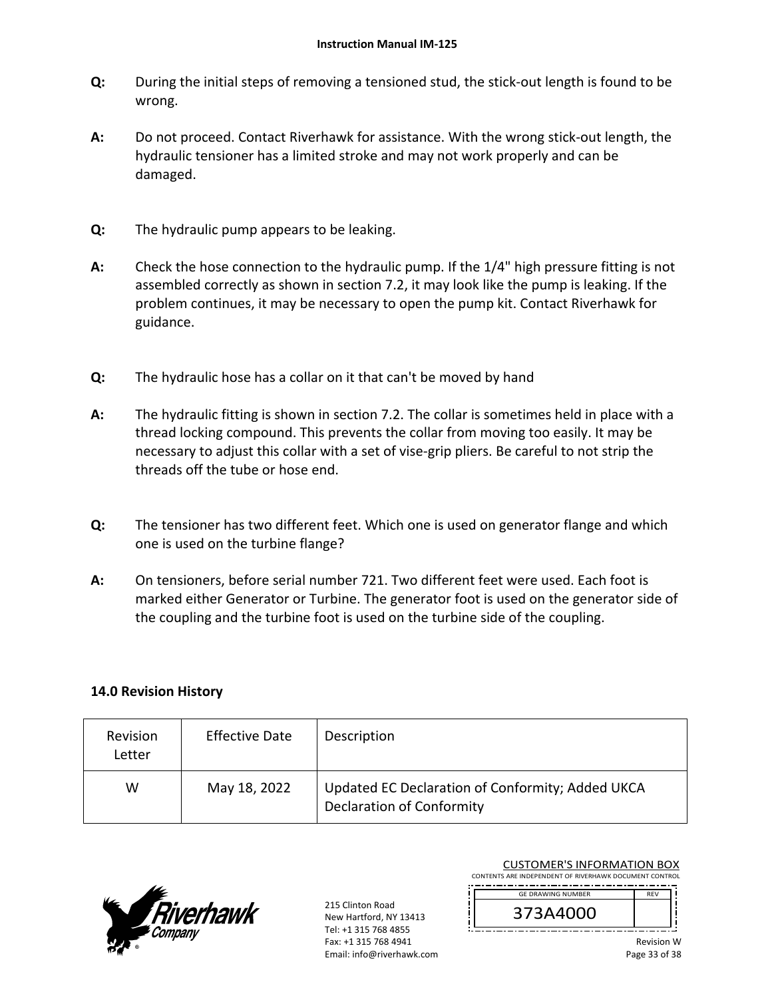- **Q:**  During the initial steps of removing a tensioned stud, the stick‐out length is found to be wrong.
- **A:**  Do not proceed. Contact Riverhawk for assistance. With the wrong stick‐out length, the hydraulic tensioner has a limited stroke and may not work properly and can be damaged.
- **Q:**  The hydraulic pump appears to be leaking.
- **A:**  Check the hose connection to the hydraulic pump. If the 1/4" high pressure fitting is not assembled correctly as shown in section 7.2, it may look like the pump is leaking. If the problem continues, it may be necessary to open the pump kit. Contact Riverhawk for guidance.
- **Q:**  The hydraulic hose has a collar on it that can't be moved by hand
- **A:**  The hydraulic fitting is shown in section 7.2. The collar is sometimes held in place with a thread locking compound. This prevents the collar from moving too easily. It may be necessary to adjust this collar with a set of vise-grip pliers. Be careful to not strip the threads off the tube or hose end.
- **Q:**  The tensioner has two different feet. Which one is used on generator flange and which one is used on the turbine flange?
- **A:**  On tensioners, before serial number 721. Two different feet were used. Each foot is marked either Generator or Turbine. The generator foot is used on the generator side of the coupling and the turbine foot is used on the turbine side of the coupling.

## **14.0 Revision History**

| Revision<br>Letter | <b>Effective Date</b> | Description                                                                          |
|--------------------|-----------------------|--------------------------------------------------------------------------------------|
| W                  | May 18, 2022          | Updated EC Declaration of Conformity; Added UKCA<br><b>Declaration of Conformity</b> |



215 Clinton Road New Hartford, NY 13413 Tel: +1 315 768 4855 Fax: +1 315 768 4941 Email: info@riverhawk.com

CUSTOMER'S INFORMATION BOX CONTENTS ARE INDEPENDENT OF RIVERHAWK DOCUMENT CONTROL

 GE DRAWING NUMBER

373A4000  REV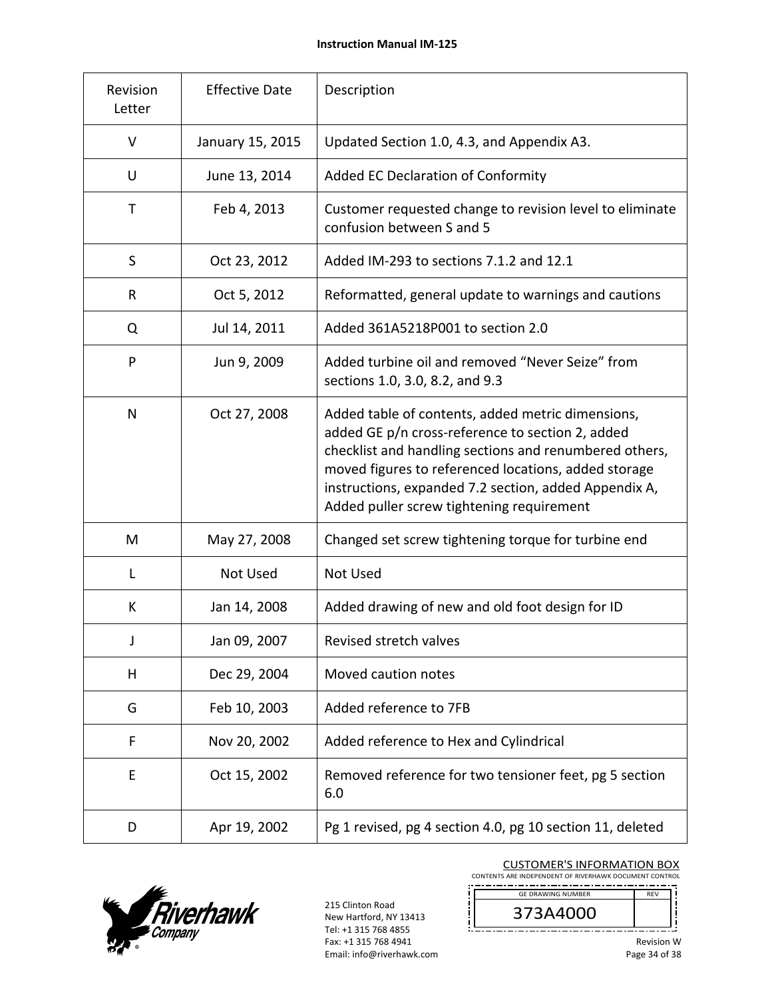| Revision<br>Letter | <b>Effective Date</b> | Description                                                                                                                                                                                                                                                                                                                   |  |
|--------------------|-----------------------|-------------------------------------------------------------------------------------------------------------------------------------------------------------------------------------------------------------------------------------------------------------------------------------------------------------------------------|--|
| V                  | January 15, 2015      | Updated Section 1.0, 4.3, and Appendix A3.                                                                                                                                                                                                                                                                                    |  |
| U                  | June 13, 2014         | Added EC Declaration of Conformity                                                                                                                                                                                                                                                                                            |  |
| T                  | Feb 4, 2013           | Customer requested change to revision level to eliminate<br>confusion between S and 5                                                                                                                                                                                                                                         |  |
| S                  | Oct 23, 2012          | Added IM-293 to sections 7.1.2 and 12.1                                                                                                                                                                                                                                                                                       |  |
| R                  | Oct 5, 2012           | Reformatted, general update to warnings and cautions                                                                                                                                                                                                                                                                          |  |
| Q                  | Jul 14, 2011          | Added 361A5218P001 to section 2.0                                                                                                                                                                                                                                                                                             |  |
| P                  | Jun 9, 2009           | Added turbine oil and removed "Never Seize" from<br>sections 1.0, 3.0, 8.2, and 9.3                                                                                                                                                                                                                                           |  |
| N                  | Oct 27, 2008          | Added table of contents, added metric dimensions,<br>added GE p/n cross-reference to section 2, added<br>checklist and handling sections and renumbered others,<br>moved figures to referenced locations, added storage<br>instructions, expanded 7.2 section, added Appendix A,<br>Added puller screw tightening requirement |  |
| M                  | May 27, 2008          | Changed set screw tightening torque for turbine end                                                                                                                                                                                                                                                                           |  |
| L                  | Not Used              | <b>Not Used</b>                                                                                                                                                                                                                                                                                                               |  |
| K                  | Jan 14, 2008          | Added drawing of new and old foot design for ID                                                                                                                                                                                                                                                                               |  |
| J                  | Jan 09, 2007          | Revised stretch valves                                                                                                                                                                                                                                                                                                        |  |
| н                  | Dec 29, 2004          | Moved caution notes                                                                                                                                                                                                                                                                                                           |  |
| G                  | Feb 10, 2003          | Added reference to 7FB                                                                                                                                                                                                                                                                                                        |  |
| F                  | Nov 20, 2002          | Added reference to Hex and Cylindrical                                                                                                                                                                                                                                                                                        |  |
| E                  | Oct 15, 2002          | Removed reference for two tensioner feet, pg 5 section<br>6.0                                                                                                                                                                                                                                                                 |  |
| D                  | Apr 19, 2002          | Pg 1 revised, pg 4 section 4.0, pg 10 section 11, deleted                                                                                                                                                                                                                                                                     |  |



215 Clinton Road New Hartford, NY 13413 Tel: +1 315 768 4855 Fax: +1 315 768 4941 Email: info@riverhawk.com i

 $\prod_{i=1}^n$ 

CUSTOMER'S INFORMATION BOX

CONTENTS ARE INDEPENDENT OF RIVERHAWK DOCUMENT CONTROL GE DRAWING NUMBER REV

373A4000 

Ť

Ť ļ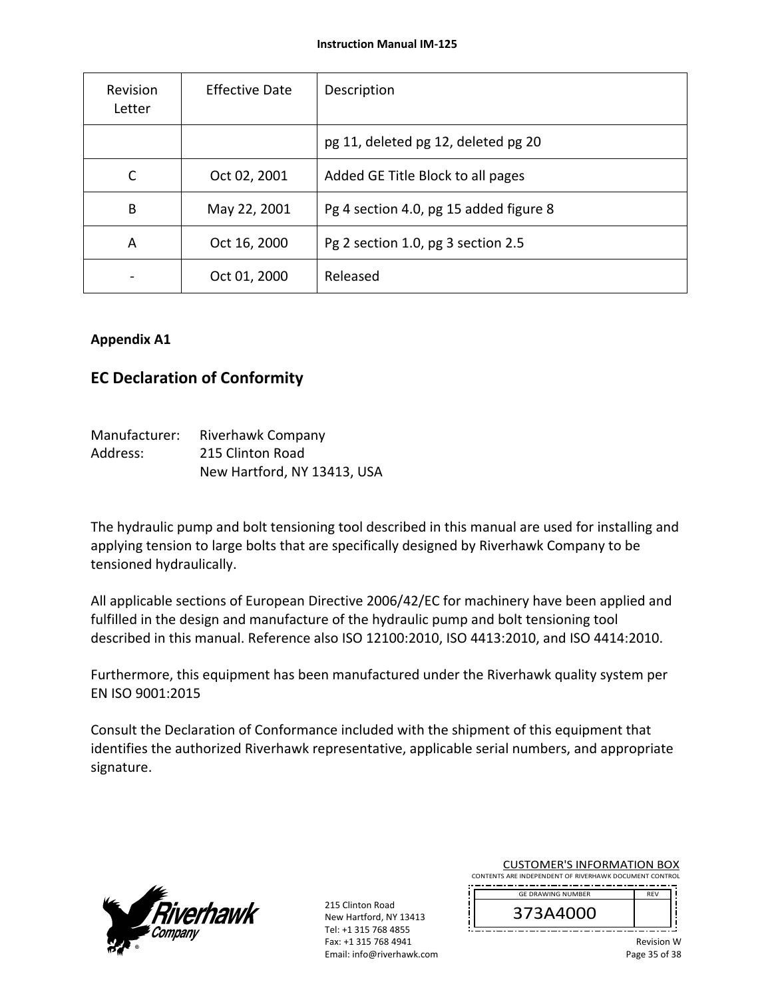| Revision<br>Letter | <b>Effective Date</b> | Description                            |
|--------------------|-----------------------|----------------------------------------|
|                    |                       | pg 11, deleted pg 12, deleted pg 20    |
| C                  | Oct 02, 2001          | Added GE Title Block to all pages      |
| B                  | May 22, 2001          | Pg 4 section 4.0, pg 15 added figure 8 |
| A                  | Oct 16, 2000          | Pg 2 section 1.0, pg 3 section 2.5     |
|                    | Oct 01, 2000          | Released                               |

## **Appendix A1**

## **EC Declaration of Conformity**

| Manufacturer: | Riverhawk Company           |
|---------------|-----------------------------|
| Address:      | 215 Clinton Road            |
|               | New Hartford, NY 13413, USA |

The hydraulic pump and bolt tensioning tool described in this manual are used for installing and applying tension to large bolts that are specifically designed by Riverhawk Company to be tensioned hydraulically.

All applicable sections of European Directive 2006/42/EC for machinery have been applied and fulfilled in the design and manufacture of the hydraulic pump and bolt tensioning tool described in this manual. Reference also ISO 12100:2010, ISO 4413:2010, and ISO 4414:2010.

Furthermore, this equipment has been manufactured under the Riverhawk quality system per EN ISO 9001:2015

Consult the Declaration of Conformance included with the shipment of this equipment that identifies the authorized Riverhawk representative, applicable serial numbers, and appropriate signature.



215 Clinton Road New Hartford, NY 13413 Tel: +1 315 768 4855 Fax: +1 315 768 4941 Email: info@riverhawk.com

| <b>GE DRAWING NUMBER</b> |  |
|--------------------------|--|
| 373A4000                 |  |
|                          |  |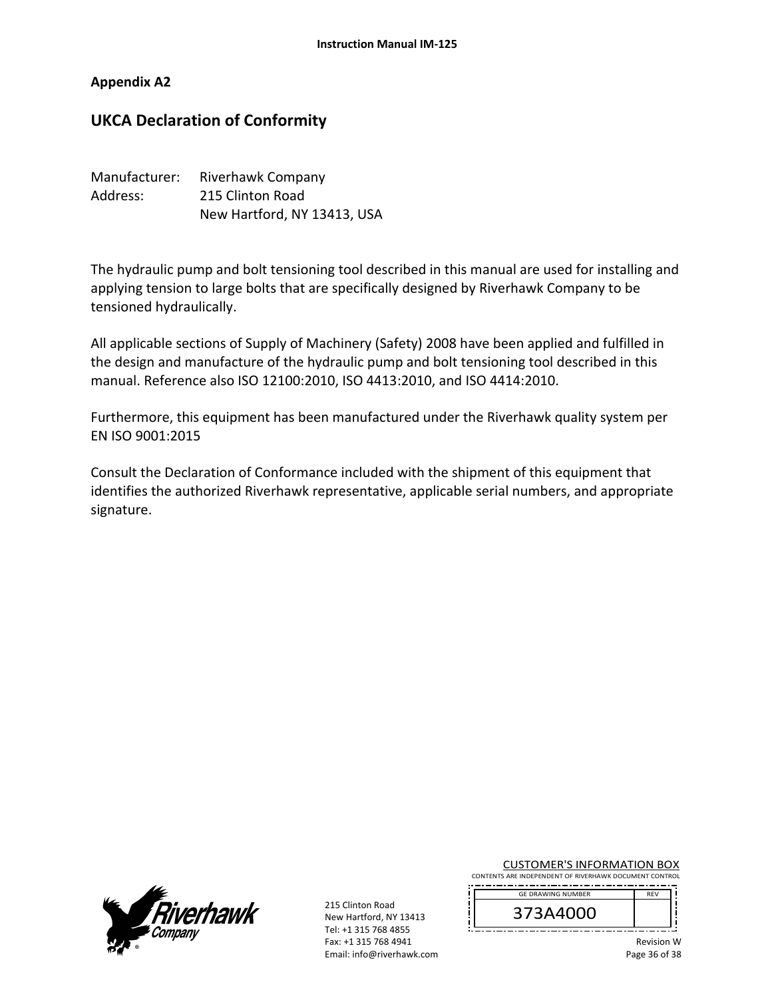## **Appendix A2**

## **UKCA Declaration of Conformity**

| Manufacturer: | Riverhawk Company           |  |
|---------------|-----------------------------|--|
| Address:      | 215 Clinton Road            |  |
|               | New Hartford, NY 13413, USA |  |

The hydraulic pump and bolt tensioning tool described in this manual are used for installing and applying tension to large bolts that are specifically designed by Riverhawk Company to be tensioned hydraulically.

All applicable sections of Supply of Machinery (Safety) 2008 have been applied and fulfilled in the design and manufacture of the hydraulic pump and bolt tensioning tool described in this manual. Reference also ISO 12100:2010, ISO 4413:2010, and ISO 4414:2010.

Furthermore, this equipment has been manufactured under the Riverhawk quality system per EN ISO 9001:2015

Consult the Declaration of Conformance included with the shipment of this equipment that identifies the authorized Riverhawk representative, applicable serial numbers, and appropriate signature.



215 Clinton Road New Hartford, NY 13413 Tel: +1 315 768 4855 Fax: +1 315 768 4941 Email: info@riverhawk.com CUSTOMER'S INFORMATION BOX

| <b>GE DRAWING NUMBER</b> |  |
|--------------------------|--|
| 373A4000                 |  |
|                          |  |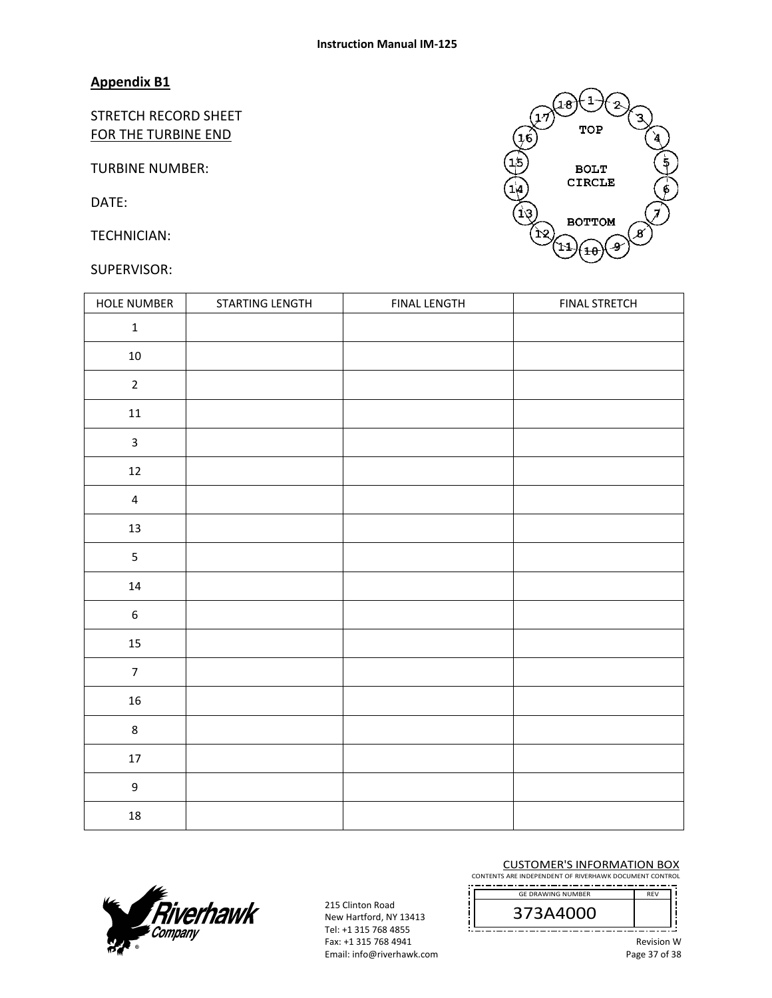#### **Appendix B1**

STRETCH RECORD SHEET FOR THE TURBINE END

TURBINE NUMBER:

DATE:

TECHNICIAN:

### SUPERVISOR:

|   | 18                 |                  |
|---|--------------------|------------------|
| 6 | TOP<br><b>BOLT</b> |                  |
|   | <b>CIRCLE</b>      | g                |
|   | <b>BOTTOM</b><br>O | $\boldsymbol{s}$ |

| HOLE NUMBER      | STARTING LENGTH | <b>FINAL LENGTH</b> | <b>FINAL STRETCH</b> |
|------------------|-----------------|---------------------|----------------------|
| $\mathbf 1$      |                 |                     |                      |
| $10\,$           |                 |                     |                      |
| $\mathbf 2$      |                 |                     |                      |
| $11\,$           |                 |                     |                      |
| $\mathbf{3}$     |                 |                     |                      |
| $12\,$           |                 |                     |                      |
| $\overline{4}$   |                 |                     |                      |
| $13\,$           |                 |                     |                      |
| $\overline{5}$   |                 |                     |                      |
| $14\,$           |                 |                     |                      |
| $\boldsymbol{6}$ |                 |                     |                      |
| $15\,$           |                 |                     |                      |
| $\boldsymbol{7}$ |                 |                     |                      |
| ${\bf 16}$       |                 |                     |                      |
| $\bf 8$          |                 |                     |                      |
| $17\,$           |                 |                     |                      |
| $\mathsf g$      |                 |                     |                      |
| $18\,$           |                 |                     |                      |



215 Clinton Road New Hartford, NY 13413 Tel: +1 315 768 4855 Fax: +1 315 768 4941 Email: info@riverhawk.com

 $\mathbf{r}$ 

CUSTOMER'S INFORMATION BOX

CONTENTS ARE INDEPENDENT OF RIVERHAWK DOCUMENT CONTROL GE DRAWING NUMBER REV

373A4000<br>-----------------------

Ţ